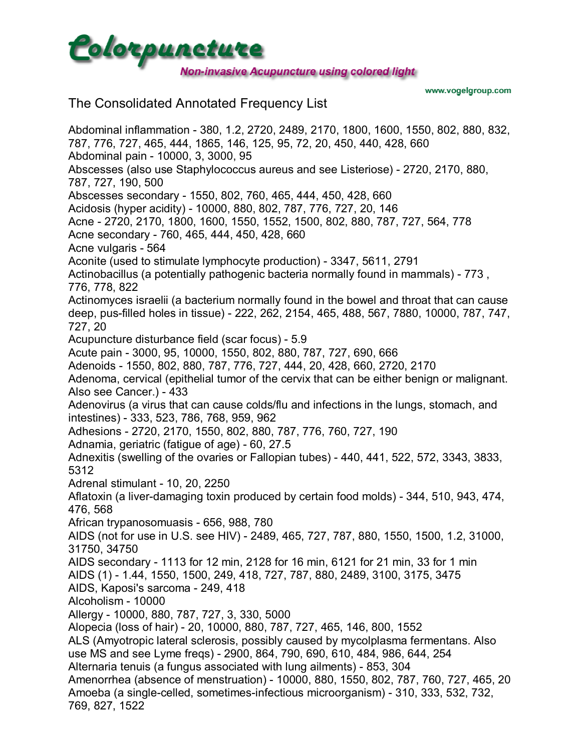

www.vogelgroup.com

## The Consolidated Annotated Frequency List

Abdominal inflammation - 380, 1.2, 2720, 2489, 2170, 1800, 1600, 1550, 802, 880, 832, 787, 776, 727, 465, 444, 1865, 146, 125, 95, 72, 20, 450, 440, 428, 660 Abdominal pain - 10000, 3, 3000, 95 Abscesses (also use Staphylococcus aureus and see Listeriose) - 2720, 2170, 880, 787, 727, 190, 500 Abscesses secondary - 1550, 802, 760, 465, 444, 450, 428, 660 Acidosis (hyper acidity) - 10000, 880, 802, 787, 776, 727, 20, 146 Acne - 2720, 2170, 1800, 1600, 1550, 1552, 1500, 802, 880, 787, 727, 564, 778 Acne secondary - 760, 465, 444, 450, 428, 660 Acne vulgaris - 564 Aconite (used to stimulate lymphocyte production) - 3347, 5611, 2791 Actinobacillus (a potentially pathogenic bacteria normally found in mammals) - 773 , 776, 778, 822 Actinomyces israelii (a bacterium normally found in the bowel and throat that can cause deep, pus-filled holes in tissue) - 222, 262, 2154, 465, 488, 567, 7880, 10000, 787, 747, 727, 20 Acupuncture disturbance field (scar focus) - 5.9 Acute pain - 3000, 95, 10000, 1550, 802, 880, 787, 727, 690, 666 Adenoids - 1550, 802, 880, 787, 776, 727, 444, 20, 428, 660, 2720, 2170 Adenoma, cervical (epithelial tumor of the cervix that can be either benign or malignant. Also see Cancer.) - 433 Adenovirus (a virus that can cause colds/flu and infections in the lungs, stomach, and intestines) - 333, 523, 786, 768, 959, 962 Adhesions - 2720, 2170, 1550, 802, 880, 787, 776, 760, 727, 190 Adnamia, geriatric (fatigue of age) - 60, 27.5 Adnexitis (swelling of the ovaries or Fallopian tubes) - 440, 441, 522, 572, 3343, 3833, 5312 Adrenal stimulant - 10, 20, 2250 Aflatoxin (a liver-damaging toxin produced by certain food molds) - 344, 510, 943, 474, 476, 568 African trypanosomuasis - 656, 988, 780 AIDS (not for use in U.S. see HIV) - 2489, 465, 727, 787, 880, 1550, 1500, 1.2, 31000, 31750, 34750 AIDS secondary - 1113 for 12 min, 2128 for 16 min, 6121 for 21 min, 33 for 1 min AIDS (1) - 1.44, 1550, 1500, 249, 418, 727, 787, 880, 2489, 3100, 3175, 3475 AIDS, Kaposi's sarcoma - 249, 418 Alcoholism - 10000 Allergy - 10000, 880, 787, 727, 3, 330, 5000 Alopecia (loss of hair) - 20, 10000, 880, 787, 727, 465, 146, 800, 1552 ALS (Amyotropic lateral sclerosis, possibly caused by mycolplasma fermentans. Also use MS and see Lyme freqs) - 2900, 864, 790, 690, 610, 484, 986, 644, 254 Alternaria tenuis (a fungus associated with lung ailments) - 853, 304 Amenorrhea (absence of menstruation) - 10000, 880, 1550, 802, 787, 760, 727, 465, 20 Amoeba (a single-celled, sometimes-infectious microorganism) - 310, 333, 532, 732, 769, 827, 1522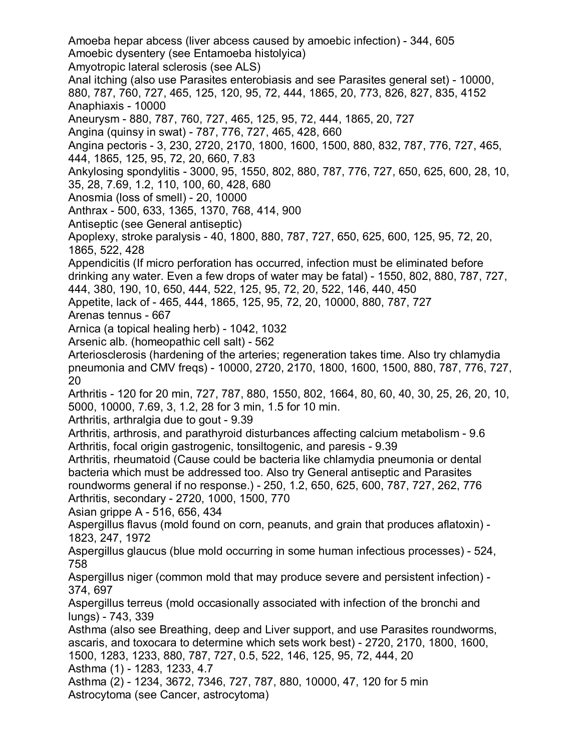Amoeba hepar abcess (liver abcess caused by amoebic infection) - 344, 605 Amoebic dysentery (see Entamoeba histolyica) Amyotropic lateral sclerosis (see ALS) Anal itching (also use Parasites enterobiasis and see Parasites general set) - 10000, 880, 787, 760, 727, 465, 125, 120, 95, 72, 444, 1865, 20, 773, 826, 827, 835, 4152 Anaphiaxis - 10000 Aneurysm - 880, 787, 760, 727, 465, 125, 95, 72, 444, 1865, 20, 727 Angina (quinsy in swat) - 787, 776, 727, 465, 428, 660 Angina pectoris - 3, 230, 2720, 2170, 1800, 1600, 1500, 880, 832, 787, 776, 727, 465, 444, 1865, 125, 95, 72, 20, 660, 7.83 Ankylosing spondylitis - 3000, 95, 1550, 802, 880, 787, 776, 727, 650, 625, 600, 28, 10, 35, 28, 7.69, 1.2, 110, 100, 60, 428, 680 Anosmia (loss of smell) - 20, 10000 Anthrax - 500, 633, 1365, 1370, 768, 414, 900 Antiseptic (see General antiseptic) Apoplexy, stroke paralysis - 40, 1800, 880, 787, 727, 650, 625, 600, 125, 95, 72, 20, 1865, 522, 428 Appendicitis (If micro perforation has occurred, infection must be eliminated before drinking any water. Even a few drops of water may be fatal) - 1550, 802, 880, 787, 727, 444, 380, 190, 10, 650, 444, 522, 125, 95, 72, 20, 522, 146, 440, 450 Appetite, lack of - 465, 444, 1865, 125, 95, 72, 20, 10000, 880, 787, 727 Arenas tennus - 667 Arnica (a topical healing herb) - 1042, 1032 Arsenic alb. (homeopathic cell salt) - 562 Arteriosclerosis (hardening of the arteries; regeneration takes time. Also try chlamydia pneumonia and CMV freqs) - 10000, 2720, 2170, 1800, 1600, 1500, 880, 787, 776, 727, 20 Arthritis - 120 for 20 min, 727, 787, 880, 1550, 802, 1664, 80, 60, 40, 30, 25, 26, 20, 10, 5000, 10000, 7.69, 3, 1.2, 28 for 3 min, 1.5 for 10 min. Arthritis, arthralgia due to gout - 9.39 Arthritis, arthrosis, and parathyroid disturbances affecting calcium metabolism - 9.6 Arthritis, focal origin gastrogenic, tonsiltogenic, and paresis - 9.39 Arthritis, rheumatoid (Cause could be bacteria like chlamydia pneumonia or dental bacteria which must be addressed too. Also try General antiseptic and Parasites roundworms general if no response.) - 250, 1.2, 650, 625, 600, 787, 727, 262, 776 Arthritis, secondary - 2720, 1000, 1500, 770 Asian grippe A - 516, 656, 434 Aspergillus flavus (mold found on corn, peanuts, and grain that produces aflatoxin) - 1823, 247, 1972 Aspergillus glaucus (blue mold occurring in some human infectious processes) - 524, 758 Aspergillus niger (common mold that may produce severe and persistent infection) - 374, 697 Aspergillus terreus (mold occasionally associated with infection of the bronchi and lungs) - 743, 339 Asthma (also see Breathing, deep and Liver support, and use Parasites roundworms, ascaris, and toxocara to determine which sets work best) - 2720, 2170, 1800, 1600, 1500, 1283, 1233, 880, 787, 727, 0.5, 522, 146, 125, 95, 72, 444, 20 Asthma (1) - 1283, 1233, 4.7 Asthma (2) - 1234, 3672, 7346, 727, 787, 880, 10000, 47, 120 for 5 min Astrocytoma (see Cancer, astrocytoma)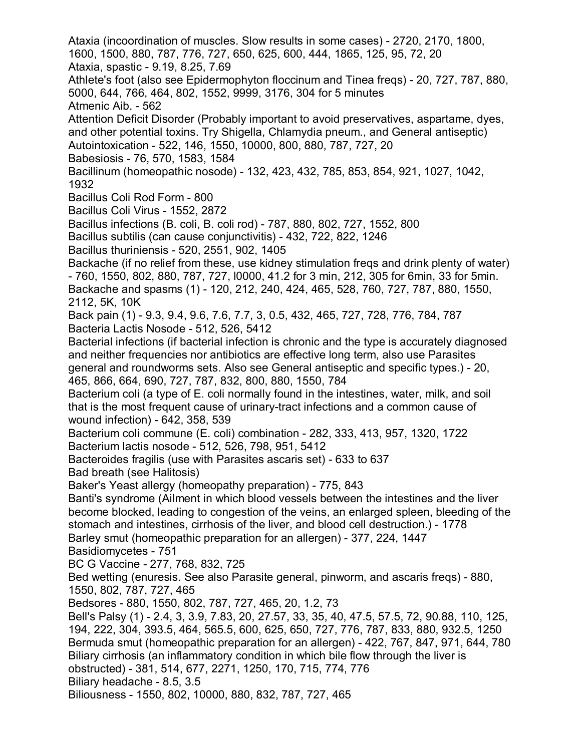Ataxia (incoordination of muscles. Slow results in some cases) - 2720, 2170, 1800, 1600, 1500, 880, 787, 776, 727, 650, 625, 600, 444, 1865, 125, 95, 72, 20 Ataxia, spastic - 9.19, 8.25, 7.69 Athlete's foot (also see Epidermophyton floccinum and Tinea freqs) - 20, 727, 787, 880, 5000, 644, 766, 464, 802, 1552, 9999, 3176, 304 for 5 minutes Atmenic Aib. - 562 Attention Deficit Disorder (Probably important to avoid preservatives, aspartame, dyes, and other potential toxins. Try Shigella, Chlamydia pneum., and General antiseptic) Autointoxication - 522, 146, 1550, 10000, 800, 880, 787, 727, 20 Babesiosis - 76, 570, 1583, 1584 Bacillinum (homeopathic nosode) - 132, 423, 432, 785, 853, 854, 921, 1027, 1042, 1932 Bacillus Coli Rod Form - 800 Bacillus Coli Virus - 1552, 2872 Bacillus infections (B. coli, B. coli rod) - 787, 880, 802, 727, 1552, 800 Bacillus subtilis (can cause conjunctivitis) - 432, 722, 822, 1246 Bacillus thuriniensis - 520, 2551, 902, 1405 Backache (if no relief from these, use kidney stimulation freqs and drink plenty of water) - 760, 1550, 802, 880, 787, 727, l0000, 41.2 for 3 min, 212, 305 for 6min, 33 for 5min. Backache and spasms (1) - 120, 212, 240, 424, 465, 528, 760, 727, 787, 880, 1550, 2112, 5K, 10K Back pain (1) - 9.3, 9.4, 9.6, 7.6, 7.7, 3, 0.5, 432, 465, 727, 728, 776, 784, 787 Bacteria Lactis Nosode - 512, 526, 5412 Bacterial infections (if bacterial infection is chronic and the type is accurately diagnosed and neither frequencies nor antibiotics are effective long term, also use Parasites general and roundworms sets. Also see General antiseptic and specific types.) - 20, 465, 866, 664, 690, 727, 787, 832, 800, 880, 1550, 784 Bacterium coli (a type of E. coli normally found in the intestines, water, milk, and soil that is the most frequent cause of urinary-tract infections and a common cause of wound infection) - 642, 358, 539 Bacterium coli commune (E. coli) combination - 282, 333, 413, 957, 1320, 1722 Bacterium lactis nosode - 512, 526, 798, 951, 5412 Bacteroides fragilis (use with Parasites ascaris set) - 633 to 637 Bad breath (see Halitosis) Baker's Yeast allergy (homeopathy preparation) - 775, 843 Banti's syndrome (Ailment in which blood vessels between the intestines and the liver become blocked, leading to congestion of the veins, an enlarged spleen, bleeding of the stomach and intestines, cirrhosis of the liver, and blood cell destruction.) - 1778 Barley smut (homeopathic preparation for an allergen) - 377, 224, 1447 Basidiomycetes - 751 BC G Vaccine - 277, 768, 832, 725 Bed wetting (enuresis. See also Parasite general, pinworm, and ascaris freqs) - 880, 1550, 802, 787, 727, 465 Bedsores - 880, 1550, 802, 787, 727, 465, 20, 1.2, 73 Bell's Palsy (1) - 2.4, 3, 3.9, 7.83, 20, 27.57, 33, 35, 40, 47.5, 57.5, 72, 90.88, 110, 125, 194, 222, 304, 393.5, 464, 565.5, 600, 625, 650, 727, 776, 787, 833, 880, 932.5, 1250 Bermuda smut (homeopathic preparation for an allergen) - 422, 767, 847, 971, 644, 780 Biliary cirrhosis (an inflammatory condition in which bile flow through the liver is obstructed) - 381, 514, 677, 2271, 1250, 170, 715, 774, 776 Biliary headache - 8.5, 3.5 Biliousness - 1550, 802, 10000, 880, 832, 787, 727, 465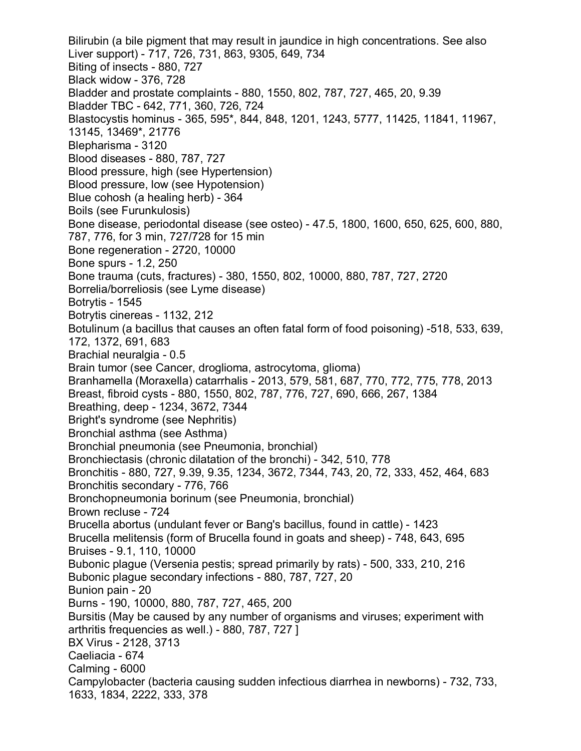Bilirubin (a bile pigment that may result in jaundice in high concentrations. See also Liver support) - 717, 726, 731, 863, 9305, 649, 734 Biting of insects - 880, 727 Black widow - 376, 728 Bladder and prostate complaints - 880, 1550, 802, 787, 727, 465, 20, 9.39 Bladder TBC - 642, 771, 360, 726, 724 Blastocystis hominus - 365, 595\*, 844, 848, 1201, 1243, 5777, 11425, 11841, 11967, 13145, 13469\*, 21776 Blepharisma - 3120 Blood diseases - 880, 787, 727 Blood pressure, high (see Hypertension) Blood pressure, low (see Hypotension) Blue cohosh (a healing herb) - 364 Boils (see Furunkulosis) Bone disease, periodontal disease (see osteo) - 47.5, 1800, 1600, 650, 625, 600, 880, 787, 776, for 3 min, 727/728 for 15 min Bone regeneration - 2720, 10000 Bone spurs - 1.2, 250 Bone trauma (cuts, fractures) - 380, 1550, 802, 10000, 880, 787, 727, 2720 Borrelia/borreliosis (see Lyme disease) Botrytis - 1545 Botrytis cinereas - 1132, 212 Botulinum (a bacillus that causes an often fatal form of food poisoning) -518, 533, 639, 172, 1372, 691, 683 Brachial neuralgia - 0.5 Brain tumor (see Cancer, droglioma, astrocytoma, glioma) Branhamella (Moraxella) catarrhalis - 2013, 579, 581, 687, 770, 772, 775, 778, 2013 Breast, fibroid cysts - 880, 1550, 802, 787, 776, 727, 690, 666, 267, 1384 Breathing, deep - 1234, 3672, 7344 Bright's syndrome (see Nephritis) Bronchial asthma (see Asthma) Bronchial pneumonia (see Pneumonia, bronchial) Bronchiectasis (chronic dilatation of the bronchi) - 342, 510, 778 Bronchitis - 880, 727, 9.39, 9.35, 1234, 3672, 7344, 743, 20, 72, 333, 452, 464, 683 Bronchitis secondary - 776, 766 Bronchopneumonia borinum (see Pneumonia, bronchial) Brown recluse - 724 Brucella abortus (undulant fever or Bang's bacillus, found in cattle) - 1423 Brucella melitensis (form of Brucella found in goats and sheep) - 748, 643, 695 Bruises - 9.1, 110, 10000 Bubonic plague (Versenia pestis; spread primarily by rats) - 500, 333, 210, 216 Bubonic plague secondary infections - 880, 787, 727, 20 Bunion pain - 20 Burns - 190, 10000, 880, 787, 727, 465, 200 Bursitis (May be caused by any number of organisms and viruses; experiment with arthritis frequencies as well.) - 880, 787, 727 ] BX Virus - 2128, 3713 Caeliacia - 674 Calming - 6000 Campylobacter (bacteria causing sudden infectious diarrhea in newborns) - 732, 733, 1633, 1834, 2222, 333, 378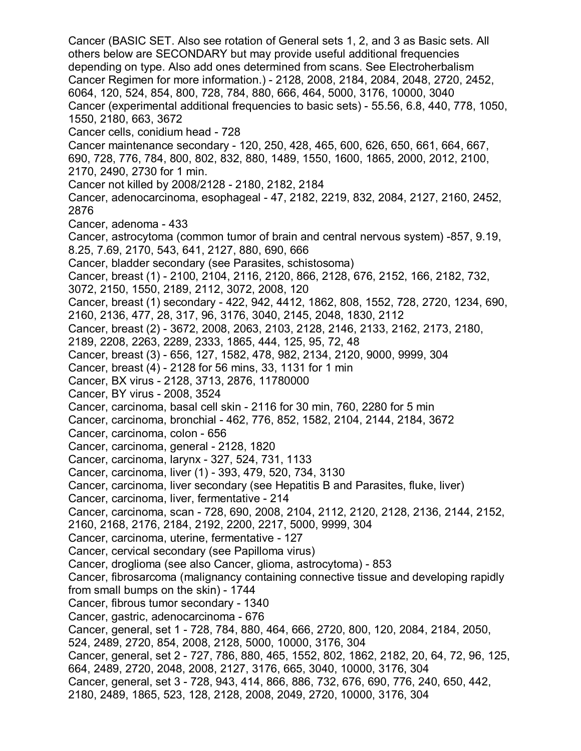Cancer (BASIC SET. Also see rotation of General sets 1, 2, and 3 as Basic sets. All others below are SECONDARY but may provide useful additional frequencies depending on type. Also add ones determined from scans. See Electroherbalism Cancer Regimen for more information.) - 2128, 2008, 2184, 2084, 2048, 2720, 2452, 6064, 120, 524, 854, 800, 728, 784, 880, 666, 464, 5000, 3176, 10000, 3040 Cancer (experimental additional frequencies to basic sets) - 55.56, 6.8, 440, 778, 1050, 1550, 2180, 663, 3672 Cancer cells, conidium head - 728 Cancer maintenance secondary - 120, 250, 428, 465, 600, 626, 650, 661, 664, 667, 690, 728, 776, 784, 800, 802, 832, 880, 1489, 1550, 1600, 1865, 2000, 2012, 2100, 2170, 2490, 2730 for 1 min. Cancer not killed by 2008/2128 - 2180, 2182, 2184 Cancer, adenocarcinoma, esophageal - 47, 2182, 2219, 832, 2084, 2127, 2160, 2452, 2876 Cancer, adenoma - 433 Cancer, astrocytoma (common tumor of brain and central nervous system) -857, 9.19, 8.25, 7.69, 2170, 543, 641, 2127, 880, 690, 666 Cancer, bladder secondary (see Parasites, schistosoma) Cancer, breast (1) - 2100, 2104, 2116, 2120, 866, 2128, 676, 2152, 166, 2182, 732, 3072, 2150, 1550, 2189, 2112, 3072, 2008, 120 Cancer, breast (1) secondary - 422, 942, 4412, 1862, 808, 1552, 728, 2720, 1234, 690, 2160, 2136, 477, 28, 317, 96, 3176, 3040, 2145, 2048, 1830, 2112 Cancer, breast (2) - 3672, 2008, 2063, 2103, 2128, 2146, 2133, 2162, 2173, 2180, 2189, 2208, 2263, 2289, 2333, 1865, 444, 125, 95, 72, 48 Cancer, breast (3) - 656, 127, 1582, 478, 982, 2134, 2120, 9000, 9999, 304 Cancer, breast (4) - 2128 for 56 mins, 33, 1131 for 1 min Cancer, BX virus - 2128, 3713, 2876, 11780000 Cancer, BY virus - 2008, 3524 Cancer, carcinoma, basal cell skin - 2116 for 30 min, 760, 2280 for 5 min Cancer, carcinoma, bronchial - 462, 776, 852, 1582, 2104, 2144, 2184, 3672 Cancer, carcinoma, colon - 656 Cancer, carcinoma, general - 2128, 1820 Cancer, carcinoma, larynx - 327, 524, 731, 1133 Cancer, carcinoma, liver (1) - 393, 479, 520, 734, 3130 Cancer, carcinoma, liver secondary (see Hepatitis B and Parasites, fluke, liver) Cancer, carcinoma, liver, fermentative - 214 Cancer, carcinoma, scan - 728, 690, 2008, 2104, 2112, 2120, 2128, 2136, 2144, 2152, 2160, 2168, 2176, 2184, 2192, 2200, 2217, 5000, 9999, 304 Cancer, carcinoma, uterine, fermentative - 127 Cancer, cervical secondary (see Papilloma virus) Cancer, droglioma (see also Cancer, glioma, astrocytoma) - 853 Cancer, fibrosarcoma (malignancy containing connective tissue and developing rapidly from small bumps on the skin) - 1744 Cancer, fibrous tumor secondary - 1340 Cancer, gastric, adenocarcinoma - 676 Cancer, general, set 1 - 728, 784, 880, 464, 666, 2720, 800, 120, 2084, 2184, 2050, 524, 2489, 2720, 854, 2008, 2128, 5000, 10000, 3176, 304 Cancer, general, set 2 - 727, 786, 880, 465, 1552, 802, 1862, 2182, 20, 64, 72, 96, 125, 664, 2489, 2720, 2048, 2008, 2127, 3176, 665, 3040, 10000, 3176, 304 Cancer, general, set 3 - 728, 943, 414, 866, 886, 732, 676, 690, 776, 240, 650, 442, 2180, 2489, 1865, 523, 128, 2128, 2008, 2049, 2720, 10000, 3176, 304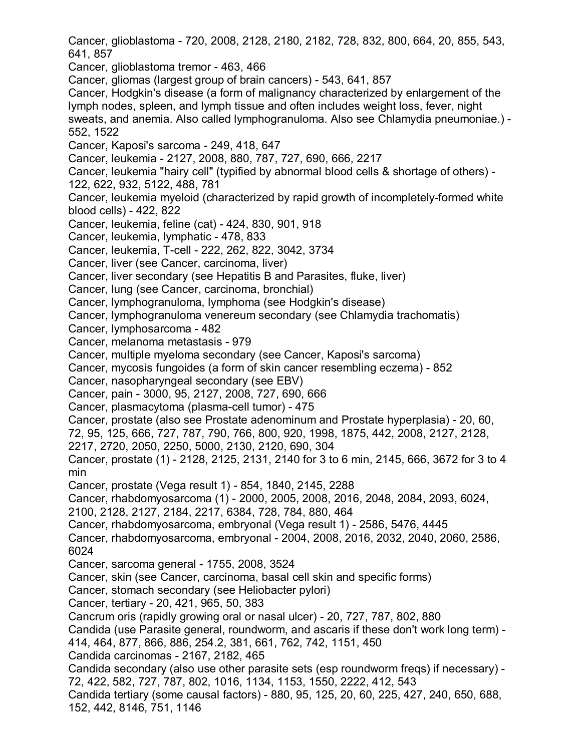Cancer, glioblastoma - 720, 2008, 2128, 2180, 2182, 728, 832, 800, 664, 20, 855, 543, 641, 857 Cancer, glioblastoma tremor - 463, 466 Cancer, gliomas (largest group of brain cancers) - 543, 641, 857 Cancer, Hodgkin's disease (a form of malignancy characterized by enlargement of the lymph nodes, spleen, and lymph tissue and often includes weight loss, fever, night sweats, and anemia. Also called lymphogranuloma. Also see Chlamydia pneumoniae.) - 552, 1522 Cancer, Kaposi's sarcoma - 249, 418, 647 Cancer, leukemia - 2127, 2008, 880, 787, 727, 690, 666, 2217 Cancer, leukemia "hairy cell" (typified by abnormal blood cells & shortage of others) - 122, 622, 932, 5122, 488, 781 Cancer, leukemia myeloid (characterized by rapid growth of incompletely-formed white blood cells) - 422, 822 Cancer, leukemia, feline (cat) - 424, 830, 901, 918 Cancer, leukemia, lymphatic - 478, 833 Cancer, leukemia, T-cell - 222, 262, 822, 3042, 3734 Cancer, liver (see Cancer, carcinoma, liver) Cancer, liver secondary (see Hepatitis B and Parasites, fluke, liver) Cancer, lung (see Cancer, carcinoma, bronchial) Cancer, lymphogranuloma, lymphoma (see Hodgkin's disease) Cancer, lymphogranuloma venereum secondary (see Chlamydia trachomatis) Cancer, lymphosarcoma - 482 Cancer, melanoma metastasis - 979 Cancer, multiple myeloma secondary (see Cancer, Kaposi's sarcoma) Cancer, mycosis fungoides (a form of skin cancer resembling eczema) - 852 Cancer, nasopharyngeal secondary (see EBV) Cancer, pain - 3000, 95, 2127, 2008, 727, 690, 666 Cancer, plasmacytoma (plasma-cell tumor) - 475 Cancer, prostate (also see Prostate adenominum and Prostate hyperplasia) - 20, 60, 72, 95, 125, 666, 727, 787, 790, 766, 800, 920, 1998, 1875, 442, 2008, 2127, 2128, 2217, 2720, 2050, 2250, 5000, 2130, 2120, 690, 304 Cancer, prostate (1) - 2128, 2125, 2131, 2140 for 3 to 6 min, 2145, 666, 3672 for 3 to 4 min Cancer, prostate (Vega result 1) - 854, 1840, 2145, 2288 Cancer, rhabdomyosarcoma (1) - 2000, 2005, 2008, 2016, 2048, 2084, 2093, 6024, 2100, 2128, 2127, 2184, 2217, 6384, 728, 784, 880, 464 Cancer, rhabdomyosarcoma, embryonal (Vega result 1) - 2586, 5476, 4445 Cancer, rhabdomyosarcoma, embryonal - 2004, 2008, 2016, 2032, 2040, 2060, 2586, 6024 Cancer, sarcoma general - 1755, 2008, 3524 Cancer, skin (see Cancer, carcinoma, basal cell skin and specific forms) Cancer, stomach secondary (see Heliobacter pylori) Cancer, tertiary - 20, 421, 965, 50, 383 Cancrum oris (rapidly growing oral or nasal ulcer) - 20, 727, 787, 802, 880 Candida (use Parasite general, roundworm, and ascaris if these don't work long term) - 414, 464, 877, 866, 886, 254.2, 381, 661, 762, 742, 1151, 450 Candida carcinomas - 2167, 2182, 465 Candida secondary (also use other parasite sets (esp roundworm freqs) if necessary) - 72, 422, 582, 727, 787, 802, 1016, 1134, 1153, 1550, 2222, 412, 543 Candida tertiary (some causal factors) - 880, 95, 125, 20, 60, 225, 427, 240, 650, 688, 152, 442, 8146, 751, 1146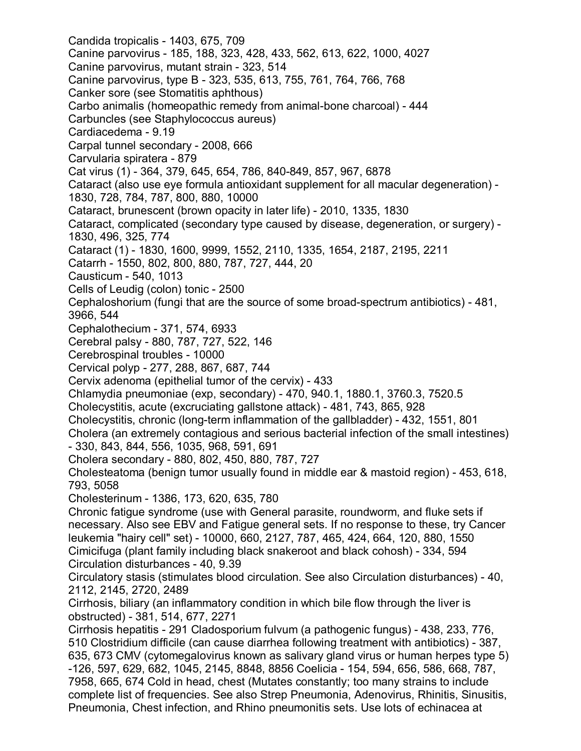Candida tropicalis - 1403, 675, 709 Canine parvovirus - 185, 188, 323, 428, 433, 562, 613, 622, 1000, 4027 Canine parvovirus, mutant strain - 323, 514 Canine parvovirus, type B - 323, 535, 613, 755, 761, 764, 766, 768 Canker sore (see Stomatitis aphthous) Carbo animalis (homeopathic remedy from animal-bone charcoal) - 444 Carbuncles (see Staphylococcus aureus) Cardiacedema - 9.19 Carpal tunnel secondary - 2008, 666 Carvularia spiratera - 879 Cat virus (1) - 364, 379, 645, 654, 786, 840-849, 857, 967, 6878 Cataract (also use eye formula antioxidant supplement for all macular degeneration) - 1830, 728, 784, 787, 800, 880, 10000 Cataract, brunescent (brown opacity in later life) - 2010, 1335, 1830 Cataract, complicated (secondary type caused by disease, degeneration, or surgery) - 1830, 496, 325, 774 Cataract (1) - 1830, 1600, 9999, 1552, 2110, 1335, 1654, 2187, 2195, 2211 Catarrh - 1550, 802, 800, 880, 787, 727, 444, 20 Causticum - 540, 1013 Cells of Leudig (colon) tonic - 2500 Cephaloshorium (fungi that are the source of some broad-spectrum antibiotics) - 481, 3966, 544 Cephalothecium - 371, 574, 6933 Cerebral palsy - 880, 787, 727, 522, 146 Cerebrospinal troubles - 10000 Cervical polyp - 277, 288, 867, 687, 744 Cervix adenoma (epithelial tumor of the cervix) - 433 Chlamydia pneumoniae (exp, secondary) - 470, 940.1, 1880.1, 3760.3, 7520.5 Cholecystitis, acute (excruciating gallstone attack) - 481, 743, 865, 928 Cholecystitis, chronic (long-term inflammation of the gallbladder) - 432, 1551, 801 Cholera (an extremely contagious and serious bacterial infection of the small intestines) - 330, 843, 844, 556, 1035, 968, 591, 691 Cholera secondary - 880, 802, 450, 880, 787, 727 Cholesteatoma (benign tumor usually found in middle ear & mastoid region) - 453, 618, 793, 5058 Cholesterinum - 1386, 173, 620, 635, 780 Chronic fatigue syndrome (use with General parasite, roundworm, and fluke sets if necessary. Also see EBV and Fatigue general sets. If no response to these, try Cancer leukemia "hairy cell" set) - 10000, 660, 2127, 787, 465, 424, 664, 120, 880, 1550 Cimicifuga (plant family including black snakeroot and black cohosh) - 334, 594 Circulation disturbances - 40, 9.39 Circulatory stasis (stimulates blood circulation. See also Circulation disturbances) - 40, 2112, 2145, 2720, 2489 Cirrhosis, biliary (an inflammatory condition in which bile flow through the liver is obstructed) - 381, 514, 677, 2271 Cirrhosis hepatitis - 291 Cladosporium fulvum (a pathogenic fungus) - 438, 233, 776, 510 Clostridium difficile (can cause diarrhea following treatment with antibiotics) - 387, 635, 673 CMV (cytomegalovirus known as salivary gland virus or human herpes type 5) -126, 597, 629, 682, 1045, 2145, 8848, 8856 Coelicia - 154, 594, 656, 586, 668, 787, 7958, 665, 674 Cold in head, chest (Mutates constantly; too many strains to include complete list of frequencies. See also Strep Pneumonia, Adenovirus, Rhinitis, Sinusitis, Pneumonia, Chest infection, and Rhino pneumonitis sets. Use lots of echinacea at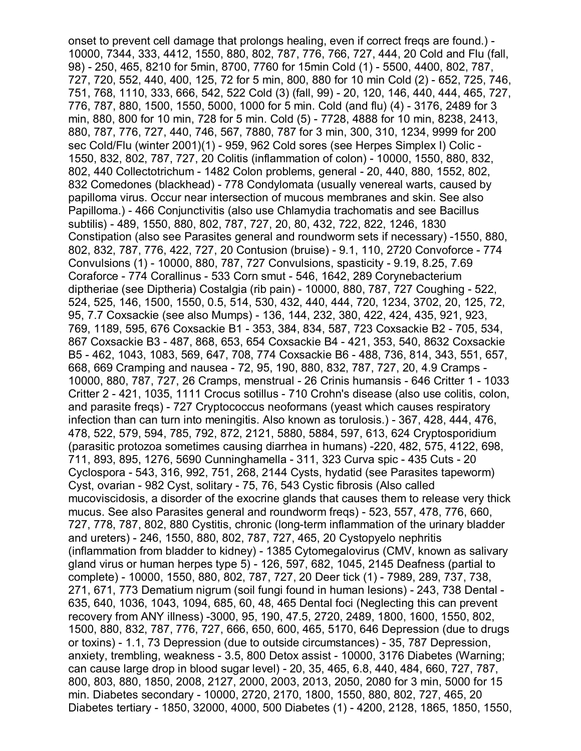onset to prevent cell damage that prolongs healing, even if correct freqs are found.) - 10000, 7344, 333, 4412, 1550, 880, 802, 787, 776, 766, 727, 444, 20 Cold and Flu (fall, 98) - 250, 465, 8210 for 5min, 8700, 7760 for 15min Cold (1) - 5500, 4400, 802, 787, 727, 720, 552, 440, 400, 125, 72 for 5 min, 800, 880 for 10 min Cold (2) - 652, 725, 746, 751, 768, 1110, 333, 666, 542, 522 Cold (3) (fall, 99) - 20, 120, 146, 440, 444, 465, 727, 776, 787, 880, 1500, 1550, 5000, 1000 for 5 min. Cold (and flu) (4) - 3176, 2489 for 3 min, 880, 800 for 10 min, 728 for 5 min. Cold (5) - 7728, 4888 for 10 min, 8238, 2413, 880, 787, 776, 727, 440, 746, 567, 7880, 787 for 3 min, 300, 310, 1234, 9999 for 200 sec Cold/Flu (winter 2001)(1) - 959, 962 Cold sores (see Herpes Simplex I) Colic - 1550, 832, 802, 787, 727, 20 Colitis (inflammation of colon) - 10000, 1550, 880, 832, 802, 440 Collectotrichum - 1482 Colon problems, general - 20, 440, 880, 1552, 802, 832 Comedones (blackhead) - 778 Condylomata (usually venereal warts, caused by papilloma virus. Occur near intersection of mucous membranes and skin. See also Papilloma.) - 466 Conjunctivitis (also use Chlamydia trachomatis and see Bacillus subtilis) - 489, 1550, 880, 802, 787, 727, 20, 80, 432, 722, 822, 1246, 1830 Constipation (also see Parasites general and roundworm sets if necessary) -1550, 880, 802, 832, 787, 776, 422, 727, 20 Contusion (bruise) - 9.1, 110, 2720 Convoforce - 774 Convulsions (1) - 10000, 880, 787, 727 Convulsions, spasticity - 9.19, 8.25, 7.69 Coraforce - 774 Corallinus - 533 Corn smut - 546, 1642, 289 Corynebacterium diptheriae (see Diptheria) Costalgia (rib pain) - 10000, 880, 787, 727 Coughing - 522, 524, 525, 146, 1500, 1550, 0.5, 514, 530, 432, 440, 444, 720, 1234, 3702, 20, 125, 72, 95, 7.7 Coxsackie (see also Mumps) - 136, 144, 232, 380, 422, 424, 435, 921, 923, 769, 1189, 595, 676 Coxsackie B1 - 353, 384, 834, 587, 723 Coxsackie B2 - 705, 534, 867 Coxsackie B3 - 487, 868, 653, 654 Coxsackie B4 - 421, 353, 540, 8632 Coxsackie B5 - 462, 1043, 1083, 569, 647, 708, 774 Coxsackie B6 - 488, 736, 814, 343, 551, 657, 668, 669 Cramping and nausea - 72, 95, 190, 880, 832, 787, 727, 20, 4.9 Cramps - 10000, 880, 787, 727, 26 Cramps, menstrual - 26 Crinis humansis - 646 Critter 1 - 1033 Critter 2 - 421, 1035, 1111 Crocus sotillus - 710 Crohn's disease (also use colitis, colon, and parasite freqs) - 727 Cryptococcus neoformans (yeast which causes respiratory infection than can turn into meningitis. Also known as torulosis.) - 367, 428, 444, 476, 478, 522, 579, 594, 785, 792, 872, 2121, 5880, 5884, 597, 613, 624 Cryptosporidium (parasitic protozoa sometimes causing diarrhea in humans) -220, 482, 575, 4122, 698, 711, 893, 895, 1276, 5690 Cunninghamella - 311, 323 Curva spic - 435 Cuts - 20 Cyclospora - 543, 316, 992, 751, 268, 2144 Cysts, hydatid (see Parasites tapeworm) Cyst, ovarian - 982 Cyst, solitary - 75, 76, 543 Cystic fibrosis (Also called mucoviscidosis, a disorder of the exocrine glands that causes them to release very thick mucus. See also Parasites general and roundworm freqs) - 523, 557, 478, 776, 660, 727, 778, 787, 802, 880 Cystitis, chronic (long-term inflammation of the urinary bladder and ureters) - 246, 1550, 880, 802, 787, 727, 465, 20 Cystopyelo nephritis (inflammation from bladder to kidney) - 1385 Cytomegalovirus (CMV, known as salivary gland virus or human herpes type 5) - 126, 597, 682, 1045, 2145 Deafness (partial to complete) - 10000, 1550, 880, 802, 787, 727, 20 Deer tick (1) - 7989, 289, 737, 738, 271, 671, 773 Dematium nigrum (soil fungi found in human lesions) - 243, 738 Dental - 635, 640, 1036, 1043, 1094, 685, 60, 48, 465 Dental foci (Neglecting this can prevent recovery from ANY illness) -3000, 95, 190, 47.5, 2720, 2489, 1800, 1600, 1550, 802, 1500, 880, 832, 787, 776, 727, 666, 650, 600, 465, 5170, 646 Depression (due to drugs or toxins) - 1.1, 73 Depression (due to outside circumstances) - 35, 787 Depression, anxiety, trembling, weakness - 3.5, 800 Detox assist - 10000, 3176 Diabetes (Warning; can cause large drop in blood sugar level) - 20, 35, 465, 6.8, 440, 484, 660, 727, 787, 800, 803, 880, 1850, 2008, 2127, 2000, 2003, 2013, 2050, 2080 for 3 min, 5000 for 15 min. Diabetes secondary - 10000, 2720, 2170, 1800, 1550, 880, 802, 727, 465, 20 Diabetes tertiary - 1850, 32000, 4000, 500 Diabetes (1) - 4200, 2128, 1865, 1850, 1550,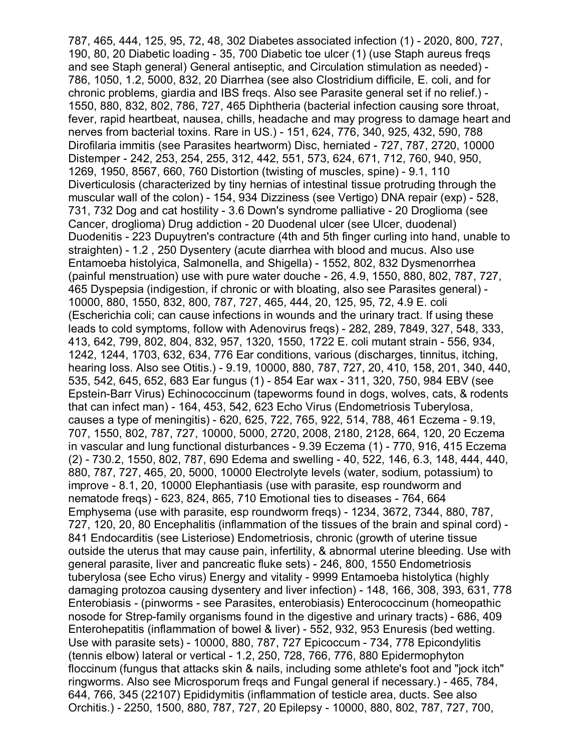787, 465, 444, 125, 95, 72, 48, 302 Diabetes associated infection (1) - 2020, 800, 727, 190, 80, 20 Diabetic loading - 35, 700 Diabetic toe ulcer (1) (use Staph aureus freqs and see Staph general) General antiseptic, and Circulation stimulation as needed) - 786, 1050, 1.2, 5000, 832, 20 Diarrhea (see also Clostridium difficile, E. coli, and for chronic problems, giardia and IBS freqs. Also see Parasite general set if no relief.) - 1550, 880, 832, 802, 786, 727, 465 Diphtheria (bacterial infection causing sore throat, fever, rapid heartbeat, nausea, chills, headache and may progress to damage heart and nerves from bacterial toxins. Rare in US.) - 151, 624, 776, 340, 925, 432, 590, 788 Dirofilaria immitis (see Parasites heartworm) Disc, herniated - 727, 787, 2720, 10000 Distemper - 242, 253, 254, 255, 312, 442, 551, 573, 624, 671, 712, 760, 940, 950, 1269, 1950, 8567, 660, 760 Distortion (twisting of muscles, spine) - 9.1, 110 Diverticulosis (characterized by tiny hernias of intestinal tissue protruding through the muscular wall of the colon) - 154, 934 Dizziness (see Vertigo) DNA repair (exp) - 528, 731, 732 Dog and cat hostility - 3.6 Down's syndrome palliative - 20 Droglioma (see Cancer, droglioma) Drug addiction - 20 Duodenal ulcer (see Ulcer, duodenal) Duodenitis - 223 Dupuytren's contracture (4th and 5th finger curling into hand, unable to straighten) - 1.2 , 250 Dysentery (acute diarrhea with blood and mucus. Also use Entamoeba histolyica, Salmonella, and Shigella) - 1552, 802, 832 Dysmenorrhea (painful menstruation) use with pure water douche - 26, 4.9, 1550, 880, 802, 787, 727, 465 Dyspepsia (indigestion, if chronic or with bloating, also see Parasites general) - 10000, 880, 1550, 832, 800, 787, 727, 465, 444, 20, 125, 95, 72, 4.9 E. coli (Escherichia coli; can cause infections in wounds and the urinary tract. If using these leads to cold symptoms, follow with Adenovirus freqs) - 282, 289, 7849, 327, 548, 333, 413, 642, 799, 802, 804, 832, 957, 1320, 1550, 1722 E. coli mutant strain - 556, 934, 1242, 1244, 1703, 632, 634, 776 Ear conditions, various (discharges, tinnitus, itching, hearing loss. Also see Otitis.) - 9.19, 10000, 880, 787, 727, 20, 410, 158, 201, 340, 440, 535, 542, 645, 652, 683 Ear fungus (1) - 854 Ear wax - 311, 320, 750, 984 EBV (see Epstein-Barr Virus) Echinococcinum (tapeworms found in dogs, wolves, cats, & rodents that can infect man) - 164, 453, 542, 623 Echo Virus (Endometriosis Tuberylosa, causes a type of meningitis) - 620, 625, 722, 765, 922, 514, 788, 461 Eczema - 9.19, 707, 1550, 802, 787, 727, 10000, 5000, 2720, 2008, 2180, 2128, 664, 120, 20 Eczema in vascular and lung functional disturbances - 9.39 Eczema (1) - 770, 916, 415 Eczema (2) - 730.2, 1550, 802, 787, 690 Edema and swelling - 40, 522, 146, 6.3, 148, 444, 440, 880, 787, 727, 465, 20, 5000, 10000 Electrolyte levels (water, sodium, potassium) to improve - 8.1, 20, 10000 Elephantiasis (use with parasite, esp roundworm and nematode freqs) - 623, 824, 865, 710 Emotional ties to diseases - 764, 664 Emphysema (use with parasite, esp roundworm freqs) - 1234, 3672, 7344, 880, 787, 727, 120, 20, 80 Encephalitis (inflammation of the tissues of the brain and spinal cord) - 841 Endocarditis (see Listeriose) Endometriosis, chronic (growth of uterine tissue outside the uterus that may cause pain, infertility, & abnormal uterine bleeding. Use with general parasite, liver and pancreatic fluke sets) - 246, 800, 1550 Endometriosis tuberylosa (see Echo virus) Energy and vitality - 9999 Entamoeba histolytica (highly damaging protozoa causing dysentery and liver infection) - 148, 166, 308, 393, 631, 778 Enterobiasis - (pinworms - see Parasites, enterobiasis) Enterococcinum (homeopathic nosode for Strep-family organisms found in the digestive and urinary tracts) - 686, 409 Enterohepatitis (inflammation of bowel & liver) - 552, 932, 953 Enuresis (bed wetting. Use with parasite sets) - 10000, 880, 787, 727 Epicoccum - 734, 778 Epicondylitis (tennis elbow) lateral or vertical - 1.2, 250, 728, 766, 776, 880 Epidermophyton floccinum (fungus that attacks skin & nails, including some athlete's foot and "jock itch" ringworms. Also see Microsporum freqs and Fungal general if necessary.) - 465, 784, 644, 766, 345 (22107) Epididymitis (inflammation of testicle area, ducts. See also Orchitis.) - 2250, 1500, 880, 787, 727, 20 Epilepsy - 10000, 880, 802, 787, 727, 700,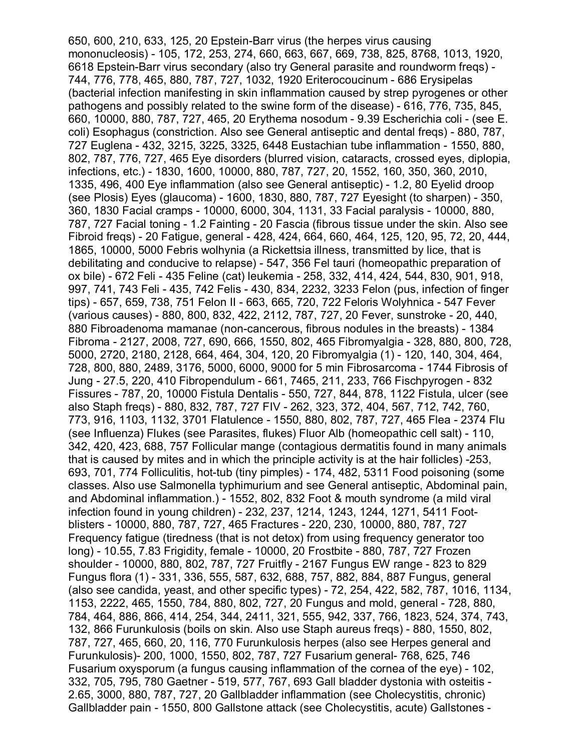650, 600, 210, 633, 125, 20 Epstein-Barr virus (the herpes virus causing mononucleosis) - 105, 172, 253, 274, 660, 663, 667, 669, 738, 825, 8768, 1013, 1920, 6618 Epstein-Barr virus secondary (also try General parasite and roundworm freqs) - 744, 776, 778, 465, 880, 787, 727, 1032, 1920 Eriterocoucinum - 686 Erysipelas (bacterial infection manifesting in skin inflammation caused by strep pyrogenes or other pathogens and possibly related to the swine form of the disease) - 616, 776, 735, 845, 660, 10000, 880, 787, 727, 465, 20 Erythema nosodum - 9.39 Escherichia coli - (see E. coli) Esophagus (constriction. Also see General antiseptic and dental freqs) - 880, 787, 727 Euglena - 432, 3215, 3225, 3325, 6448 Eustachian tube inflammation - 1550, 880, 802, 787, 776, 727, 465 Eye disorders (blurred vision, cataracts, crossed eyes, diplopia, infections, etc.) - 1830, 1600, 10000, 880, 787, 727, 20, 1552, 160, 350, 360, 2010, 1335, 496, 400 Eye inflammation (also see General antiseptic) - 1.2, 80 Eyelid droop (see Plosis) Eyes (glaucoma) - 1600, 1830, 880, 787, 727 Eyesight (to sharpen) - 350, 360, 1830 Facial cramps - 10000, 6000, 304, 1131, 33 Facial paralysis - 10000, 880, 787, 727 Facial toning - 1.2 Fainting - 20 Fascia (fibrous tissue under the skin. Also see Fibroid freqs) - 20 Fatigue, general - 428, 424, 664, 660, 464, 125, 120, 95, 72, 20, 444, 1865, 10000, 5000 Febris wolhynia (a Rickettsia illness, transmitted by lice, that is debilitating and conducive to relapse) - 547, 356 Fel tauri (homeopathic preparation of ox bile) - 672 Feli - 435 Feline (cat) leukemia - 258, 332, 414, 424, 544, 830, 901, 918, 997, 741, 743 Feli - 435, 742 Felis - 430, 834, 2232, 3233 Felon (pus, infection of finger tips) - 657, 659, 738, 751 Felon II - 663, 665, 720, 722 Feloris Wolyhnica - 547 Fever (various causes) - 880, 800, 832, 422, 2112, 787, 727, 20 Fever, sunstroke - 20, 440, 880 Fibroadenoma mamanae (non-cancerous, fibrous nodules in the breasts) - 1384 Fibroma - 2127, 2008, 727, 690, 666, 1550, 802, 465 Fibromyalgia - 328, 880, 800, 728, 5000, 2720, 2180, 2128, 664, 464, 304, 120, 20 Fibromyalgia (1) - 120, 140, 304, 464, 728, 800, 880, 2489, 3176, 5000, 6000, 9000 for 5 min Fibrosarcoma - 1744 Fibrosis of Jung - 27.5, 220, 410 Fibropendulum - 661, 7465, 211, 233, 766 Fischpyrogen - 832 Fissures - 787, 20, 10000 Fistula Dentalis - 550, 727, 844, 878, 1122 Fistula, ulcer (see also Staph freqs) - 880, 832, 787, 727 FIV - 262, 323, 372, 404, 567, 712, 742, 760, 773, 916, 1103, 1132, 3701 Flatulence - 1550, 880, 802, 787, 727, 465 Flea - 2374 Flu (see Influenza) Flukes (see Parasites, flukes) Fluor Alb (homeopathic cell salt) - 110, 342, 420, 423, 688, 757 Follicular mange (contagious dermatitis found in many animals that is caused by mites and in which the principle activity is at the hair follicles) -253, 693, 701, 774 Folliculitis, hot-tub (tiny pimples) - 174, 482, 5311 Food poisoning (some classes. Also use Salmonella typhimurium and see General antiseptic, Abdominal pain, and Abdominal inflammation.) - 1552, 802, 832 Foot & mouth syndrome (a mild viral infection found in young children) - 232, 237, 1214, 1243, 1244, 1271, 5411 Footblisters - 10000, 880, 787, 727, 465 Fractures - 220, 230, 10000, 880, 787, 727 Frequency fatigue (tiredness (that is not detox) from using frequency generator too long) - 10.55, 7.83 Frigidity, female - 10000, 20 Frostbite - 880, 787, 727 Frozen shoulder - 10000, 880, 802, 787, 727 Fruitfly - 2167 Fungus EW range - 823 to 829 Fungus flora (1) - 331, 336, 555, 587, 632, 688, 757, 882, 884, 887 Fungus, general (also see candida, yeast, and other specific types) - 72, 254, 422, 582, 787, 1016, 1134, 1153, 2222, 465, 1550, 784, 880, 802, 727, 20 Fungus and mold, general - 728, 880, 784, 464, 886, 866, 414, 254, 344, 2411, 321, 555, 942, 337, 766, 1823, 524, 374, 743, 132, 866 Furunkulosis (boils on skin. Also use Staph aureus freqs) - 880, 1550, 802, 787, 727, 465, 660, 20, 116, 770 Furunkulosis herpes (also see Herpes general and Furunkulosis)- 200, 1000, 1550, 802, 787, 727 Fusarium general- 768, 625, 746 Fusarium oxysporum (a fungus causing inflammation of the cornea of the eye) - 102, 332, 705, 795, 780 Gaetner - 519, 577, 767, 693 Gall bladder dystonia with osteitis - 2.65, 3000, 880, 787, 727, 20 Gallbladder inflammation (see Cholecystitis, chronic) Gallbladder pain - 1550, 800 Gallstone attack (see Cholecystitis, acute) Gallstones -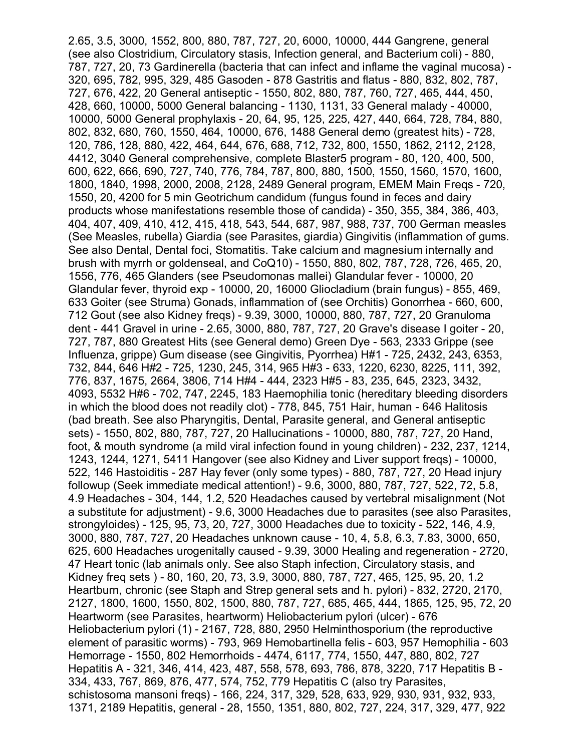2.65, 3.5, 3000, 1552, 800, 880, 787, 727, 20, 6000, 10000, 444 Gangrene, general (see also Clostridium, Circulatory stasis, Infection general, and Bacterium coli) - 880, 787, 727, 20, 73 Gardinerella (bacteria that can infect and inflame the vaginal mucosa) - 320, 695, 782, 995, 329, 485 Gasoden - 878 Gastritis and flatus - 880, 832, 802, 787, 727, 676, 422, 20 General antiseptic - 1550, 802, 880, 787, 760, 727, 465, 444, 450, 428, 660, 10000, 5000 General balancing - 1130, 1131, 33 General malady - 40000, 10000, 5000 General prophylaxis - 20, 64, 95, 125, 225, 427, 440, 664, 728, 784, 880, 802, 832, 680, 760, 1550, 464, 10000, 676, 1488 General demo (greatest hits) - 728, 120, 786, 128, 880, 422, 464, 644, 676, 688, 712, 732, 800, 1550, 1862, 2112, 2128, 4412, 3040 General comprehensive, complete Blaster5 program - 80, 120, 400, 500, 600, 622, 666, 690, 727, 740, 776, 784, 787, 800, 880, 1500, 1550, 1560, 1570, 1600, 1800, 1840, 1998, 2000, 2008, 2128, 2489 General program, EMEM Main Freqs - 720, 1550, 20, 4200 for 5 min Geotrichum candidum (fungus found in feces and dairy products whose manifestations resemble those of candida) - 350, 355, 384, 386, 403, 404, 407, 409, 410, 412, 415, 418, 543, 544, 687, 987, 988, 737, 700 German measles (See Measles, rubella) Giardia (see Parasites, giardia) Gingivitis (inflammation of gums. See also Dental, Dental foci, Stomatitis. Take calcium and magnesium internally and brush with myrrh or goldenseal, and CoQ10) - 1550, 880, 802, 787, 728, 726, 465, 20, 1556, 776, 465 Glanders (see Pseudomonas mallei) Glandular fever - 10000, 20 Glandular fever, thyroid exp - 10000, 20, 16000 Gliocladium (brain fungus) - 855, 469, 633 Goiter (see Struma) Gonads, inflammation of (see Orchitis) Gonorrhea - 660, 600, 712 Gout (see also Kidney freqs) - 9.39, 3000, 10000, 880, 787, 727, 20 Granuloma dent - 441 Gravel in urine - 2.65, 3000, 880, 787, 727, 20 Grave's disease I goiter - 20, 727, 787, 880 Greatest Hits (see General demo) Green Dye - 563, 2333 Grippe (see Influenza, grippe) Gum disease (see Gingivitis, Pyorrhea) H#1 - 725, 2432, 243, 6353, 732, 844, 646 H#2 - 725, 1230, 245, 314, 965 H#3 - 633, 1220, 6230, 8225, 111, 392, 776, 837, 1675, 2664, 3806, 714 H#4 - 444, 2323 H#5 - 83, 235, 645, 2323, 3432, 4093, 5532 H#6 - 702, 747, 2245, 183 Haemophilia tonic (hereditary bleeding disorders in which the blood does not readily clot) - 778, 845, 751 Hair, human - 646 Halitosis (bad breath. See also Pharyngitis, Dental, Parasite general, and General antiseptic sets) - 1550, 802, 880, 787, 727, 20 Hallucinations - 10000, 880, 787, 727, 20 Hand, foot, & mouth syndrome (a mild viral infection found in young children) - 232, 237, 1214, 1243, 1244, 1271, 5411 Hangover (see also Kidney and Liver support freqs) - 10000, 522, 146 Hastoiditis - 287 Hay fever (only some types) - 880, 787, 727, 20 Head injury followup (Seek immediate medical attention!) - 9.6, 3000, 880, 787, 727, 522, 72, 5.8, 4.9 Headaches - 304, 144, 1.2, 520 Headaches caused by vertebral misalignment (Not a substitute for adjustment) - 9.6, 3000 Headaches due to parasites (see also Parasites, strongyloides) - 125, 95, 73, 20, 727, 3000 Headaches due to toxicity - 522, 146, 4.9, 3000, 880, 787, 727, 20 Headaches unknown cause - 10, 4, 5.8, 6.3, 7.83, 3000, 650, 625, 600 Headaches urogenitally caused - 9.39, 3000 Healing and regeneration - 2720, 47 Heart tonic (lab animals only. See also Staph infection, Circulatory stasis, and Kidney freq sets ) - 80, 160, 20, 73, 3.9, 3000, 880, 787, 727, 465, 125, 95, 20, 1.2 Heartburn, chronic (see Staph and Strep general sets and h. pylori) - 832, 2720, 2170, 2127, 1800, 1600, 1550, 802, 1500, 880, 787, 727, 685, 465, 444, 1865, 125, 95, 72, 20 Heartworm (see Parasites, heartworm) Heliobacterium pylori (ulcer) - 676 Heliobacterium pylori (1) - 2167, 728, 880, 2950 Helminthosporium (the reproductive element of parasitic worms) - 793, 969 Hemobartinella felis - 603, 957 Hemophilia - 603 Hemorrage - 1550, 802 Hemorrhoids - 4474, 6117, 774, 1550, 447, 880, 802, 727 Hepatitis A - 321, 346, 414, 423, 487, 558, 578, 693, 786, 878, 3220, 717 Hepatitis B - 334, 433, 767, 869, 876, 477, 574, 752, 779 Hepatitis C (also try Parasites, schistosoma mansoni freqs) - 166, 224, 317, 329, 528, 633, 929, 930, 931, 932, 933, 1371, 2189 Hepatitis, general - 28, 1550, 1351, 880, 802, 727, 224, 317, 329, 477, 922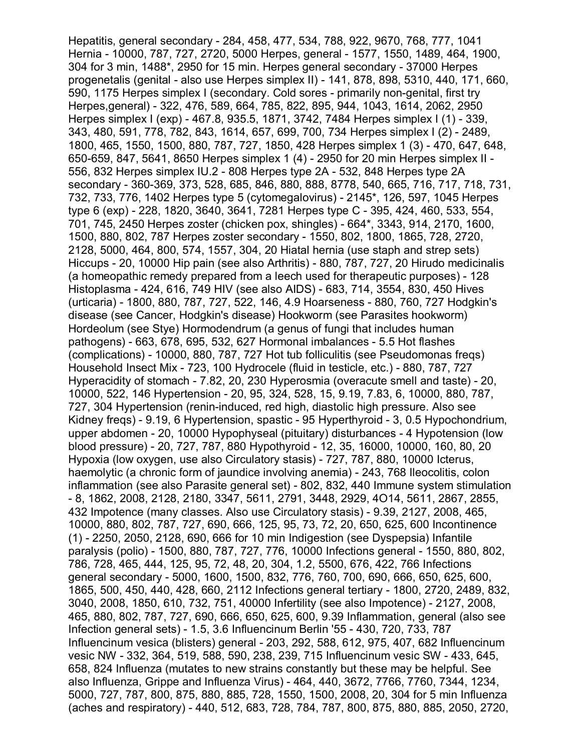Hepatitis, general secondary - 284, 458, 477, 534, 788, 922, 9670, 768, 777, 1041 Hernia - 10000, 787, 727, 2720, 5000 Herpes, general - 1577, 1550, 1489, 464, 1900, 304 for 3 min, 1488\*, 2950 for 15 min. Herpes general secondary - 37000 Herpes progenetalis (genital - also use Herpes simplex II) - 141, 878, 898, 5310, 440, 171, 660, 590, 1175 Herpes simplex I (secondary. Cold sores - primarily non-genital, first try Herpes,general) - 322, 476, 589, 664, 785, 822, 895, 944, 1043, 1614, 2062, 2950 Herpes simplex I (exp) - 467.8, 935.5, 1871, 3742, 7484 Herpes simplex I (1) - 339, 343, 480, 591, 778, 782, 843, 1614, 657, 699, 700, 734 Herpes simplex I (2) - 2489, 1800, 465, 1550, 1500, 880, 787, 727, 1850, 428 Herpes simplex 1 (3) - 470, 647, 648, 650-659, 847, 5641, 8650 Herpes simplex 1 (4) - 2950 for 20 min Herpes simplex II - 556, 832 Herpes simplex IU.2 - 808 Herpes type 2A - 532, 848 Herpes type 2A secondary - 360-369, 373, 528, 685, 846, 880, 888, 8778, 540, 665, 716, 717, 718, 731, 732, 733, 776, 1402 Herpes type 5 (cytomegalovirus) - 2145\*, 126, 597, 1045 Herpes type 6 (exp) - 228, 1820, 3640, 3641, 7281 Herpes type C - 395, 424, 460, 533, 554, 701, 745, 2450 Herpes zoster (chicken pox, shingles) - 664\*, 3343, 914, 2170, 1600, 1500, 880, 802, 787 Herpes zoster secondary - 1550, 802, 1800, 1865, 728, 2720, 2128, 5000, 464, 800, 574, 1557, 304, 20 Hiatal hernia (use staph and strep sets) Hiccups - 20, 10000 Hip pain (see also Arthritis) - 880, 787, 727, 20 Hirudo medicinalis (a homeopathic remedy prepared from a leech used for therapeutic purposes) - 128 Histoplasma - 424, 616, 749 HIV (see also AIDS) - 683, 714, 3554, 830, 450 Hives (urticaria) - 1800, 880, 787, 727, 522, 146, 4.9 Hoarseness - 880, 760, 727 Hodgkin's disease (see Cancer, Hodgkin's disease) Hookworm (see Parasites hookworm) Hordeolum (see Stye) Hormodendrum (a genus of fungi that includes human pathogens) - 663, 678, 695, 532, 627 Hormonal imbalances - 5.5 Hot flashes (complications) - 10000, 880, 787, 727 Hot tub folliculitis (see Pseudomonas freqs) Household Insect Mix - 723, 100 Hydrocele (fluid in testicle, etc.) - 880, 787, 727 Hyperacidity of stomach - 7.82, 20, 230 Hyperosmia (overacute smell and taste) - 20, 10000, 522, 146 Hypertension - 20, 95, 324, 528, 15, 9.19, 7.83, 6, 10000, 880, 787, 727, 304 Hypertension (renin-induced, red high, diastolic high pressure. Also see Kidney freqs) - 9.19, 6 Hypertension, spastic - 95 Hyperthyroid - 3, 0.5 Hypochondrium, upper abdomen - 20, 10000 Hypophyseal (pituitary) disturbances - 4 Hypotension (low blood pressure) - 20, 727, 787, 880 Hypothyroid - 12, 35, 16000, 10000, 160, 80, 20 Hypoxia (low oxygen, use also Circulatory stasis) - 727, 787, 880, 10000 Icterus, haemolytic (a chronic form of jaundice involving anemia) - 243, 768 Ileocolitis, colon inflammation (see also Parasite general set) - 802, 832, 440 Immune system stimulation - 8, 1862, 2008, 2128, 2180, 3347, 5611, 2791, 3448, 2929, 4O14, 5611, 2867, 2855, 432 Impotence (many classes. Also use Circulatory stasis) - 9.39, 2127, 2008, 465, 10000, 880, 802, 787, 727, 690, 666, 125, 95, 73, 72, 20, 650, 625, 600 Incontinence (1) - 2250, 2050, 2128, 690, 666 for 10 min Indigestion (see Dyspepsia) Infantile paralysis (polio) - 1500, 880, 787, 727, 776, 10000 Infections general - 1550, 880, 802, 786, 728, 465, 444, 125, 95, 72, 48, 20, 304, 1.2, 5500, 676, 422, 766 Infections general secondary - 5000, 1600, 1500, 832, 776, 760, 700, 690, 666, 650, 625, 600, 1865, 500, 450, 440, 428, 660, 2112 Infections general tertiary - 1800, 2720, 2489, 832, 3040, 2008, 1850, 610, 732, 751, 40000 Infertility (see also Impotence) - 2127, 2008, 465, 880, 802, 787, 727, 690, 666, 650, 625, 600, 9.39 Inflammation, general (also see Infection general sets) - 1.5, 3.6 Influencinum Berlin '55 - 430, 720, 733, 787 Influencinum vesica (blisters) general - 203, 292, 588, 612, 975, 407, 682 Influencinum vesic NW - 332, 364, 519, 588, 590, 238, 239, 715 Influencinum vesic SW - 433, 645, 658, 824 Influenza (mutates to new strains constantly but these may be helpful. See also Influenza, Grippe and Influenza Virus) - 464, 440, 3672, 7766, 7760, 7344, 1234, 5000, 727, 787, 800, 875, 880, 885, 728, 1550, 1500, 2008, 20, 304 for 5 min Influenza (aches and respiratory) - 440, 512, 683, 728, 784, 787, 800, 875, 880, 885, 2050, 2720,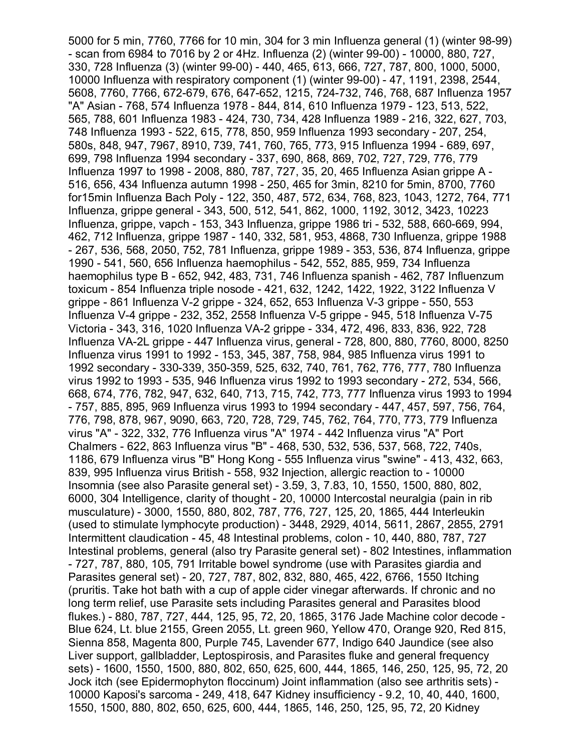5000 for 5 min, 7760, 7766 for 10 min, 304 for 3 min Influenza general (1) (winter 98-99) - scan from 6984 to 7016 by 2 or 4Hz. Influenza (2) (winter 99-00) - 10000, 880, 727, 330, 728 Influenza (3) (winter 99-00) - 440, 465, 613, 666, 727, 787, 800, 1000, 5000, 10000 Influenza with respiratory component (1) (winter 99-00) - 47, 1191, 2398, 2544, 5608, 7760, 7766, 672-679, 676, 647-652, 1215, 724-732, 746, 768, 687 Influenza 1957 "A" Asian - 768, 574 Influenza 1978 - 844, 814, 610 Influenza 1979 - 123, 513, 522, 565, 788, 601 Influenza 1983 - 424, 730, 734, 428 Influenza 1989 - 216, 322, 627, 703, 748 Influenza 1993 - 522, 615, 778, 850, 959 Influenza 1993 secondary - 207, 254, 580s, 848, 947, 7967, 8910, 739, 741, 760, 765, 773, 915 Influenza 1994 - 689, 697, 699, 798 Influenza 1994 secondary - 337, 690, 868, 869, 702, 727, 729, 776, 779 Influenza 1997 to 1998 - 2008, 880, 787, 727, 35, 20, 465 Influenza Asian grippe A - 516, 656, 434 Influenza autumn 1998 - 250, 465 for 3min, 8210 for 5min, 8700, 7760 for15min Influenza Bach Poly - 122, 350, 487, 572, 634, 768, 823, 1043, 1272, 764, 771 Influenza, grippe general - 343, 500, 512, 541, 862, 1000, 1192, 3012, 3423, 10223 Influenza, grippe, vapch - 153, 343 Influenza, grippe 1986 tri - 532, 588, 660-669, 994, 462, 712 Influenza, grippe 1987 - 140, 332, 581, 953, 4868, 730 Influenza, grippe 1988 - 267, 536, 568, 2050, 752, 781 Influenza, grippe 1989 - 353, 536, 874 Influenza, grippe 1990 - 541, 560, 656 Influenza haemophilus - 542, 552, 885, 959, 734 Influenza haemophilus type B - 652, 942, 483, 731, 746 Influenza spanish - 462, 787 Influenzum toxicum - 854 Influenza triple nosode - 421, 632, 1242, 1422, 1922, 3122 Influenza V grippe - 861 Influenza V-2 grippe - 324, 652, 653 Influenza V-3 grippe - 550, 553 Influenza V-4 grippe - 232, 352, 2558 Influenza V-5 grippe - 945, 518 Influenza V-75 Victoria - 343, 316, 1020 Influenza VA-2 grippe - 334, 472, 496, 833, 836, 922, 728 Influenza VA-2L grippe - 447 Influenza virus, general - 728, 800, 880, 7760, 8000, 8250 Influenza virus 1991 to 1992 - 153, 345, 387, 758, 984, 985 Influenza virus 1991 to 1992 secondary - 330-339, 350-359, 525, 632, 740, 761, 762, 776, 777, 780 Influenza virus 1992 to 1993 - 535, 946 Influenza virus 1992 to 1993 secondary - 272, 534, 566, 668, 674, 776, 782, 947, 632, 640, 713, 715, 742, 773, 777 Influenza virus 1993 to 1994 - 757, 885, 895, 969 Influenza virus 1993 to 1994 secondary - 447, 457, 597, 756, 764, 776, 798, 878, 967, 9090, 663, 720, 728, 729, 745, 762, 764, 770, 773, 779 Influenza virus "A" - 322, 332, 776 Influenza virus "A" 1974 - 442 Influenza virus "A" Port Chalmers - 622, 863 Influenza virus "B" - 468, 530, 532, 536, 537, 568, 722, 740s, 1186, 679 Influenza virus "B" Hong Kong - 555 Influenza virus "swine" - 413, 432, 663, 839, 995 Influenza virus British - 558, 932 Injection, allergic reaction to - 10000 Insomnia (see also Parasite general set) - 3.59, 3, 7.83, 10, 1550, 1500, 880, 802, 6000, 304 Intelligence, clarity of thought - 20, 10000 Intercostal neuralgia (pain in rib musculature) - 3000, 1550, 880, 802, 787, 776, 727, 125, 20, 1865, 444 Interleukin (used to stimulate lymphocyte production) - 3448, 2929, 4014, 5611, 2867, 2855, 2791 Intermittent claudication - 45, 48 Intestinal problems, colon - 10, 440, 880, 787, 727 Intestinal problems, general (also try Parasite general set) - 802 Intestines, inflammation - 727, 787, 880, 105, 791 Irritable bowel syndrome (use with Parasites giardia and Parasites general set) - 20, 727, 787, 802, 832, 880, 465, 422, 6766, 1550 Itching (pruritis. Take hot bath with a cup of apple cider vinegar afterwards. If chronic and no long term relief, use Parasite sets including Parasites general and Parasites blood flukes.) - 880, 787, 727, 444, 125, 95, 72, 20, 1865, 3176 Jade Machine color decode - Blue 624, Lt. blue 2155, Green 2055, Lt. green 960, Yellow 470, Orange 920, Red 815, Sienna 858, Magenta 800, Purple 745, Lavender 677, Indigo 640 Jaundice (see also Liver support, gallbladder, Leptospirosis, and Parasites fluke and general frequency sets) - 1600, 1550, 1500, 880, 802, 650, 625, 600, 444, 1865, 146, 250, 125, 95, 72, 20 Jock itch (see Epidermophyton floccinum) Joint inflammation (also see arthritis sets) - 10000 Kaposi's sarcoma - 249, 418, 647 Kidney insufficiency - 9.2, 10, 40, 440, 1600, 1550, 1500, 880, 802, 650, 625, 600, 444, 1865, 146, 250, 125, 95, 72, 20 Kidney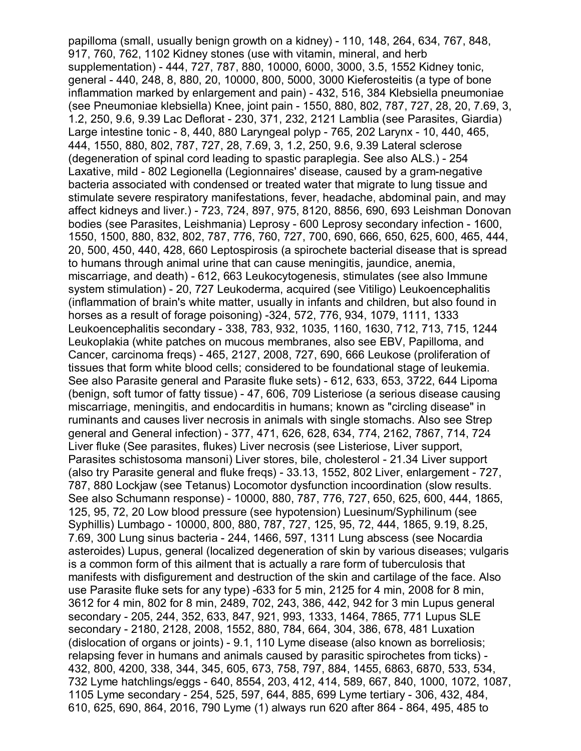papilloma (small, usually benign growth on a kidney) - 110, 148, 264, 634, 767, 848, 917, 760, 762, 1102 Kidney stones (use with vitamin, mineral, and herb supplementation) - 444, 727, 787, 880, 10000, 6000, 3000, 3.5, 1552 Kidney tonic, general - 440, 248, 8, 880, 20, 10000, 800, 5000, 3000 Kieferosteitis (a type of bone inflammation marked by enlargement and pain) - 432, 516, 384 Klebsiella pneumoniae (see Pneumoniae klebsiella) Knee, joint pain - 1550, 880, 802, 787, 727, 28, 20, 7.69, 3, 1.2, 250, 9.6, 9.39 Lac Deflorat - 230, 371, 232, 2121 Lamblia (see Parasites, Giardia) Large intestine tonic - 8, 440, 880 Laryngeal polyp - 765, 202 Larynx - 10, 440, 465, 444, 1550, 880, 802, 787, 727, 28, 7.69, 3, 1.2, 250, 9.6, 9.39 Lateral sclerose (degeneration of spinal cord leading to spastic paraplegia. See also ALS.) - 254 Laxative, mild - 802 Legionella (Legionnaires' disease, caused by a gram-negative bacteria associated with condensed or treated water that migrate to lung tissue and stimulate severe respiratory manifestations, fever, headache, abdominal pain, and may affect kidneys and liver.) - 723, 724, 897, 975, 8120, 8856, 690, 693 Leishman Donovan bodies (see Parasites, Leishmania) Leprosy - 600 Leprosy secondary infection - 1600, 1550, 1500, 880, 832, 802, 787, 776, 760, 727, 700, 690, 666, 650, 625, 600, 465, 444, 20, 500, 450, 440, 428, 660 Leptospirosis (a spirochete bacterial disease that is spread to humans through animal urine that can cause meningitis, jaundice, anemia, miscarriage, and death) - 612, 663 Leukocytogenesis, stimulates (see also Immune system stimulation) - 20, 727 Leukoderma, acquired (see Vitiligo) Leukoencephalitis (inflammation of brain's white matter, usually in infants and children, but also found in horses as a result of forage poisoning) -324, 572, 776, 934, 1079, 1111, 1333 Leukoencephalitis secondary - 338, 783, 932, 1035, 1160, 1630, 712, 713, 715, 1244 Leukoplakia (white patches on mucous membranes, also see EBV, Papilloma, and Cancer, carcinoma freqs) - 465, 2127, 2008, 727, 690, 666 Leukose (proliferation of tissues that form white blood cells; considered to be foundational stage of leukemia. See also Parasite general and Parasite fluke sets) - 612, 633, 653, 3722, 644 Lipoma (benign, soft tumor of fatty tissue) - 47, 606, 709 Listeriose (a serious disease causing miscarriage, meningitis, and endocarditis in humans; known as "circling disease" in ruminants and causes liver necrosis in animals with single stomachs. Also see Strep general and General infection) - 377, 471, 626, 628, 634, 774, 2162, 7867, 714, 724 Liver fluke (See parasites, flukes) Liver necrosis (see Listeriose, Liver support, Parasites schistosoma mansoni) Liver stores, bile, cholesterol - 21.34 Liver support (also try Parasite general and fluke freqs) - 33.13, 1552, 802 Liver, enlargement - 727, 787, 880 Lockjaw (see Tetanus) Locomotor dysfunction incoordination (slow results. See also Schumann response) - 10000, 880, 787, 776, 727, 650, 625, 600, 444, 1865, 125, 95, 72, 20 Low blood pressure (see hypotension) Luesinum/Syphilinum (see Syphillis) Lumbago - 10000, 800, 880, 787, 727, 125, 95, 72, 444, 1865, 9.19, 8.25, 7.69, 300 Lung sinus bacteria - 244, 1466, 597, 1311 Lung abscess (see Nocardia asteroides) Lupus, general (localized degeneration of skin by various diseases; vulgaris is a common form of this ailment that is actually a rare form of tuberculosis that manifests with disfigurement and destruction of the skin and cartilage of the face. Also use Parasite fluke sets for any type) -633 for 5 min, 2125 for 4 min, 2008 for 8 min, 3612 for 4 min, 802 for 8 min, 2489, 702, 243, 386, 442, 942 for 3 min Lupus general secondary - 205, 244, 352, 633, 847, 921, 993, 1333, 1464, 7865, 771 Lupus SLE secondary - 2180, 2128, 2008, 1552, 880, 784, 664, 304, 386, 678, 481 Luxation (dislocation of organs or joints) - 9.1, 110 Lyme disease (also known as borreliosis; relapsing fever in humans and animals caused by parasitic spirochetes from ticks) - 432, 800, 4200, 338, 344, 345, 605, 673, 758, 797, 884, 1455, 6863, 6870, 533, 534, 732 Lyme hatchlings/eggs - 640, 8554, 203, 412, 414, 589, 667, 840, 1000, 1072, 1087, 1105 Lyme secondary - 254, 525, 597, 644, 885, 699 Lyme tertiary - 306, 432, 484, 610, 625, 690, 864, 2016, 790 Lyme (1) always run 620 after 864 - 864, 495, 485 to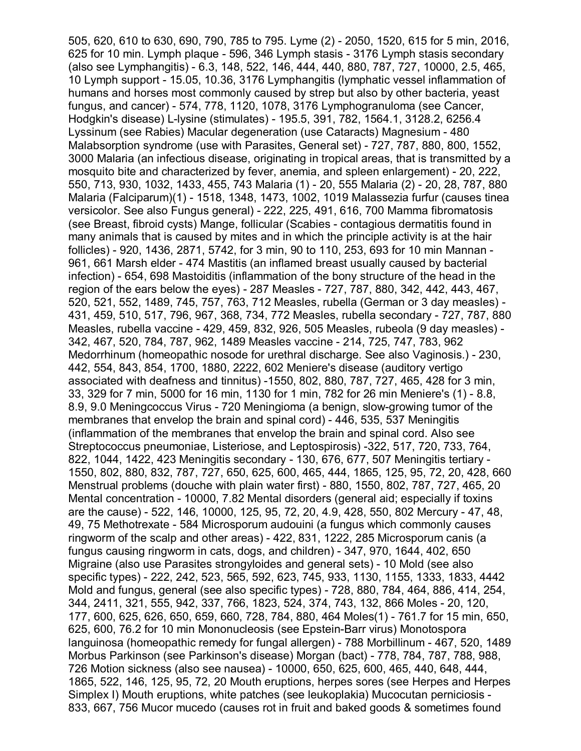505, 620, 610 to 630, 690, 790, 785 to 795. Lyme (2) - 2050, 1520, 615 for 5 min, 2016, 625 for 10 min. Lymph plaque - 596, 346 Lymph stasis - 3176 Lymph stasis secondary (also see Lymphangitis) - 6.3, 148, 522, 146, 444, 440, 880, 787, 727, 10000, 2.5, 465, 10 Lymph support - 15.05, 10.36, 3176 Lymphangitis (lymphatic vessel inflammation of humans and horses most commonly caused by strep but also by other bacteria, yeast fungus, and cancer) - 574, 778, 1120, 1078, 3176 Lymphogranuloma (see Cancer, Hodgkin's disease) L-lysine (stimulates) - 195.5, 391, 782, 1564.1, 3128.2, 6256.4 Lyssinum (see Rabies) Macular degeneration (use Cataracts) Magnesium - 480 Malabsorption syndrome (use with Parasites, General set) - 727, 787, 880, 800, 1552, 3000 Malaria (an infectious disease, originating in tropical areas, that is transmitted by a mosquito bite and characterized by fever, anemia, and spleen enlargement) - 20, 222, 550, 713, 930, 1032, 1433, 455, 743 Malaria (1) - 20, 555 Malaria (2) - 20, 28, 787, 880 Malaria (Falciparum)(1) - 1518, 1348, 1473, 1002, 1019 Malassezia furfur (causes tinea versicolor. See also Fungus general) - 222, 225, 491, 616, 700 Mamma fibromatosis (see Breast, fibroid cysts) Mange, follicular (Scabies - contagious dermatitis found in many animals that is caused by mites and in which the principle activity is at the hair follicles) - 920, 1436, 2871, 5742, for 3 min, 90 to 110, 253, 693 for 10 min Mannan - 961, 661 Marsh elder - 474 Mastitis (an inflamed breast usually caused by bacterial infection) - 654, 698 Mastoiditis (inflammation of the bony structure of the head in the region of the ears below the eyes) - 287 Measles - 727, 787, 880, 342, 442, 443, 467, 520, 521, 552, 1489, 745, 757, 763, 712 Measles, rubella (German or 3 day measles) - 431, 459, 510, 517, 796, 967, 368, 734, 772 Measles, rubella secondary - 727, 787, 880 Measles, rubella vaccine - 429, 459, 832, 926, 505 Measles, rubeola (9 day measles) - 342, 467, 520, 784, 787, 962, 1489 Measles vaccine - 214, 725, 747, 783, 962 Medorrhinum (homeopathic nosode for urethral discharge. See also Vaginosis.) - 230, 442, 554, 843, 854, 1700, 1880, 2222, 602 Meniere's disease (auditory vertigo associated with deafness and tinnitus) -1550, 802, 880, 787, 727, 465, 428 for 3 min, 33, 329 for 7 min, 5000 for 16 min, 1130 for 1 min, 782 for 26 min Meniere's (1) - 8.8, 8.9, 9.0 Meningcoccus Virus - 720 Meningioma (a benign, slow-growing tumor of the membranes that envelop the brain and spinal cord) - 446, 535, 537 Meningitis (inflammation of the membranes that envelop the brain and spinal cord. Also see Streptococcus pneumoniae, Listeriose, and Leptospirosis) -322, 517, 720, 733, 764, 822, 1044, 1422, 423 Meningitis secondary - 130, 676, 677, 507 Meningitis tertiary - 1550, 802, 880, 832, 787, 727, 650, 625, 600, 465, 444, 1865, 125, 95, 72, 20, 428, 660 Menstrual problems (douche with plain water first) - 880, 1550, 802, 787, 727, 465, 20 Mental concentration - 10000, 7.82 Mental disorders (general aid; especially if toxins are the cause) - 522, 146, 10000, 125, 95, 72, 20, 4.9, 428, 550, 802 Mercury - 47, 48, 49, 75 Methotrexate - 584 Microsporum audouini (a fungus which commonly causes ringworm of the scalp and other areas) - 422, 831, 1222, 285 Microsporum canis (a fungus causing ringworm in cats, dogs, and children) - 347, 970, 1644, 402, 650 Migraine (also use Parasites strongyloides and general sets) - 10 Mold (see also specific types) - 222, 242, 523, 565, 592, 623, 745, 933, 1130, 1155, 1333, 1833, 4442 Mold and fungus, general (see also specific types) - 728, 880, 784, 464, 886, 414, 254, 344, 2411, 321, 555, 942, 337, 766, 1823, 524, 374, 743, 132, 866 Moles - 20, 120, 177, 600, 625, 626, 650, 659, 660, 728, 784, 880, 464 Moles(1) - 761.7 for 15 min, 650, 625, 600, 76.2 for 10 min Mononucleosis (see Epstein-Barr virus) Monotospora languinosa (homeopathic remedy for fungal allergen) - 788 Morbillinum - 467, 520, 1489 Morbus Parkinson (see Parkinson's disease) Morgan (bact) - 778, 784, 787, 788, 988, 726 Motion sickness (also see nausea) - 10000, 650, 625, 600, 465, 440, 648, 444, 1865, 522, 146, 125, 95, 72, 20 Mouth eruptions, herpes sores (see Herpes and Herpes Simplex I) Mouth eruptions, white patches (see leukoplakia) Mucocutan perniciosis - 833, 667, 756 Mucor mucedo (causes rot in fruit and baked goods & sometimes found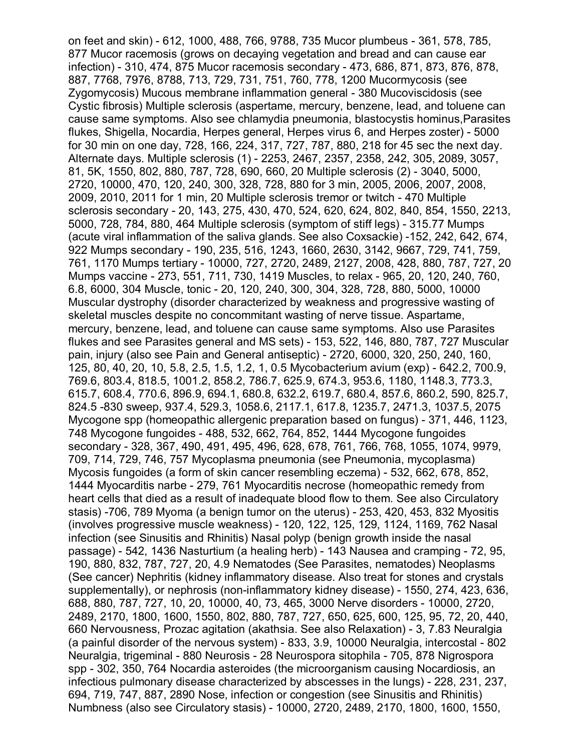on feet and skin) - 612, 1000, 488, 766, 9788, 735 Mucor plumbeus - 361, 578, 785, 877 Mucor racemosis (grows on decaying vegetation and bread and can cause ear infection) - 310, 474, 875 Mucor racemosis secondary - 473, 686, 871, 873, 876, 878, 887, 7768, 7976, 8788, 713, 729, 731, 751, 760, 778, 1200 Mucormycosis (see Zygomycosis) Mucous membrane inflammation general - 380 Mucoviscidosis (see Cystic fibrosis) Multiple sclerosis (aspertame, mercury, benzene, lead, and toluene can cause same symptoms. Also see chlamydia pneumonia, blastocystis hominus,Parasites flukes, Shigella, Nocardia, Herpes general, Herpes virus 6, and Herpes zoster) - 5000 for 30 min on one day, 728, 166, 224, 317, 727, 787, 880, 218 for 45 sec the next day. Alternate days. Multiple sclerosis (1) - 2253, 2467, 2357, 2358, 242, 305, 2089, 3057, 81, 5K, 1550, 802, 880, 787, 728, 690, 660, 20 Multiple sclerosis (2) - 3040, 5000, 2720, 10000, 470, 120, 240, 300, 328, 728, 880 for 3 min, 2005, 2006, 2007, 2008, 2009, 2010, 2011 for 1 min, 20 Multiple sclerosis tremor or twitch - 470 Multiple sclerosis secondary - 20, 143, 275, 430, 470, 524, 620, 624, 802, 840, 854, 1550, 2213, 5000, 728, 784, 880, 464 Multiple sclerosis (symptom of stiff legs) - 315.77 Mumps (acute viral inflammation of the saliva glands. See also Coxsackie) -152, 242, 642, 674, 922 Mumps secondary - 190, 235, 516, 1243, 1660, 2630, 3142, 9667, 729, 741, 759, 761, 1170 Mumps tertiary - 10000, 727, 2720, 2489, 2127, 2008, 428, 880, 787, 727, 20 Mumps vaccine - 273, 551, 711, 730, 1419 Muscles, to relax - 965, 20, 120, 240, 760, 6.8, 6000, 304 Muscle, tonic - 20, 120, 240, 300, 304, 328, 728, 880, 5000, 10000 Muscular dystrophy (disorder characterized by weakness and progressive wasting of skeletal muscles despite no concommitant wasting of nerve tissue. Aspartame, mercury, benzene, lead, and toluene can cause same symptoms. Also use Parasites flukes and see Parasites general and MS sets) - 153, 522, 146, 880, 787, 727 Muscular pain, injury (also see Pain and General antiseptic) - 2720, 6000, 320, 250, 240, 160, 125, 80, 40, 20, 10, 5.8, 2.5, 1.5, 1.2, 1, 0.5 Mycobacterium avium (exp) - 642.2, 700.9, 769.6, 803.4, 818.5, 1001.2, 858.2, 786.7, 625.9, 674.3, 953.6, 1180, 1148.3, 773.3, 615.7, 608.4, 770.6, 896.9, 694.1, 680.8, 632.2, 619.7, 680.4, 857.6, 860.2, 590, 825.7, 824.5 -830 sweep, 937.4, 529.3, 1058.6, 2117.1, 617.8, 1235.7, 2471.3, 1037.5, 2075 Mycogone spp (homeopathic allergenic preparation based on fungus) - 371, 446, 1123, 748 Mycogone fungoides - 488, 532, 662, 764, 852, 1444 Mycogone fungoides secondary - 328, 367, 490, 491, 495, 496, 628, 678, 761, 766, 768, 1055, 1074, 9979, 709, 714, 729, 746, 757 Mycoplasma pneumonia (see Pneumonia, mycoplasma) Mycosis fungoides (a form of skin cancer resembling eczema) - 532, 662, 678, 852, 1444 Myocarditis narbe - 279, 761 Myocarditis necrose (homeopathic remedy from heart cells that died as a result of inadequate blood flow to them. See also Circulatory stasis) -706, 789 Myoma (a benign tumor on the uterus) - 253, 420, 453, 832 Myositis (involves progressive muscle weakness) - 120, 122, 125, 129, 1124, 1169, 762 Nasal infection (see Sinusitis and Rhinitis) Nasal polyp (benign growth inside the nasal passage) - 542, 1436 Nasturtium (a healing herb) - 143 Nausea and cramping - 72, 95, 190, 880, 832, 787, 727, 20, 4.9 Nematodes (See Parasites, nematodes) Neoplasms (See cancer) Nephritis (kidney inflammatory disease. Also treat for stones and crystals supplementally), or nephrosis (non-inflammatory kidney disease) - 1550, 274, 423, 636, 688, 880, 787, 727, 10, 20, 10000, 40, 73, 465, 3000 Nerve disorders - 10000, 2720, 2489, 2170, 1800, 1600, 1550, 802, 880, 787, 727, 650, 625, 600, 125, 95, 72, 20, 440, 660 Nervousness, Prozac agitation (akathsia. See also Relaxation) - 3, 7.83 Neuralgia (a painful disorder of the nervous system) - 833, 3.9, 10000 Neuralgia, intercostal - 802 Neuralgia, trigeminal - 880 Neurosis - 28 Neurospora sitophila - 705, 878 Nigrospora spp - 302, 350, 764 Nocardia asteroides (the microorganism causing Nocardiosis, an infectious pulmonary disease characterized by abscesses in the lungs) - 228, 231, 237, 694, 719, 747, 887, 2890 Nose, infection or congestion (see Sinusitis and Rhinitis) Numbness (also see Circulatory stasis) - 10000, 2720, 2489, 2170, 1800, 1600, 1550,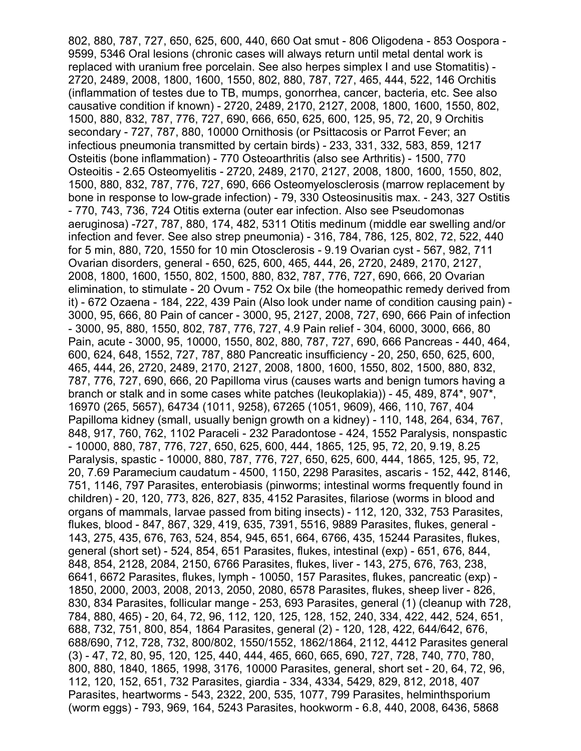802, 880, 787, 727, 650, 625, 600, 440, 660 Oat smut - 806 Oligodena - 853 Oospora - 9599, 5346 Oral lesions (chronic cases will always return until metal dental work is replaced with uranium free porcelain. See also herpes simplex I and use Stomatitis) - 2720, 2489, 2008, 1800, 1600, 1550, 802, 880, 787, 727, 465, 444, 522, 146 Orchitis (inflammation of testes due to TB, mumps, gonorrhea, cancer, bacteria, etc. See also causative condition if known) - 2720, 2489, 2170, 2127, 2008, 1800, 1600, 1550, 802, 1500, 880, 832, 787, 776, 727, 690, 666, 650, 625, 600, 125, 95, 72, 20, 9 Orchitis secondary - 727, 787, 880, 10000 Ornithosis (or Psittacosis or Parrot Fever; an infectious pneumonia transmitted by certain birds) - 233, 331, 332, 583, 859, 1217 Osteitis (bone inflammation) - 770 Osteoarthritis (also see Arthritis) - 1500, 770 Osteoitis - 2.65 Osteomyelitis - 2720, 2489, 2170, 2127, 2008, 1800, 1600, 1550, 802, 1500, 880, 832, 787, 776, 727, 690, 666 Osteomyelosclerosis (marrow replacement by bone in response to low-grade infection) - 79, 330 Osteosinusitis max. - 243, 327 Ostitis - 770, 743, 736, 724 Otitis externa (outer ear infection. Also see Pseudomonas aeruginosa) -727, 787, 880, 174, 482, 5311 Otitis medinum (middle ear swelling and/or infection and fever. See also strep pneumonia) - 316, 784, 786, 125, 802, 72, 522, 440 for 5 min, 880, 720, 1550 for 10 min Otosclerosis - 9.19 Ovarian cyst - 567, 982, 711 Ovarian disorders, general - 650, 625, 600, 465, 444, 26, 2720, 2489, 2170, 2127, 2008, 1800, 1600, 1550, 802, 1500, 880, 832, 787, 776, 727, 690, 666, 20 Ovarian elimination, to stimulate - 20 Ovum - 752 Ox bile (the homeopathic remedy derived from it) - 672 Ozaena - 184, 222, 439 Pain (Also look under name of condition causing pain) - 3000, 95, 666, 80 Pain of cancer - 3000, 95, 2127, 2008, 727, 690, 666 Pain of infection - 3000, 95, 880, 1550, 802, 787, 776, 727, 4.9 Pain relief - 304, 6000, 3000, 666, 80 Pain, acute - 3000, 95, 10000, 1550, 802, 880, 787, 727, 690, 666 Pancreas - 440, 464, 600, 624, 648, 1552, 727, 787, 880 Pancreatic insufficiency - 20, 250, 650, 625, 600, 465, 444, 26, 2720, 2489, 2170, 2127, 2008, 1800, 1600, 1550, 802, 1500, 880, 832, 787, 776, 727, 690, 666, 20 Papilloma virus (causes warts and benign tumors having a branch or stalk and in some cases white patches (leukoplakia)) - 45, 489, 874\*, 907\*, 16970 (265, 5657), 64734 (1011, 9258), 67265 (1051, 9609), 466, 110, 767, 404 Papilloma kidney (small, usually benign growth on a kidney) - 110, 148, 264, 634, 767, 848, 917, 760, 762, 1102 Paraceli - 232 Paradontose - 424, 1552 Paralysis, nonspastic - 10000, 880, 787, 776, 727, 650, 625, 600, 444, 1865, 125, 95, 72, 20, 9.19, 8.25 Paralysis, spastic - 10000, 880, 787, 776, 727, 650, 625, 600, 444, 1865, 125, 95, 72, 20, 7.69 Paramecium caudatum - 4500, 1150, 2298 Parasites, ascaris - 152, 442, 8146, 751, 1146, 797 Parasites, enterobiasis (pinworms; intestinal worms frequently found in children) - 20, 120, 773, 826, 827, 835, 4152 Parasites, filariose (worms in blood and organs of mammals, larvae passed from biting insects) - 112, 120, 332, 753 Parasites, flukes, blood - 847, 867, 329, 419, 635, 7391, 5516, 9889 Parasites, flukes, general - 143, 275, 435, 676, 763, 524, 854, 945, 651, 664, 6766, 435, 15244 Parasites, flukes, general (short set) - 524, 854, 651 Parasites, flukes, intestinal (exp) - 651, 676, 844, 848, 854, 2128, 2084, 2150, 6766 Parasites, flukes, liver - 143, 275, 676, 763, 238, 6641, 6672 Parasites, flukes, lymph - 10050, 157 Parasites, flukes, pancreatic (exp) - 1850, 2000, 2003, 2008, 2013, 2050, 2080, 6578 Parasites, flukes, sheep liver - 826, 830, 834 Parasites, follicular mange - 253, 693 Parasites, general (1) (cleanup with 728, 784, 880, 465) - 20, 64, 72, 96, 112, 120, 125, 128, 152, 240, 334, 422, 442, 524, 651, 688, 732, 751, 800, 854, 1864 Parasites, general (2) - 120, 128, 422, 644/642, 676, 688/690, 712, 728, 732, 800/802, 1550/1552, 1862/1864, 2112, 4412 Parasites general (3) - 47, 72, 80, 95, 120, 125, 440, 444, 465, 660, 665, 690, 727, 728, 740, 770, 780, 800, 880, 1840, 1865, 1998, 3176, 10000 Parasites, general, short set - 20, 64, 72, 96, 112, 120, 152, 651, 732 Parasites, giardia - 334, 4334, 5429, 829, 812, 2018, 407 Parasites, heartworms - 543, 2322, 200, 535, 1077, 799 Parasites, helminthsporium (worm eggs) - 793, 969, 164, 5243 Parasites, hookworm - 6.8, 440, 2008, 6436, 5868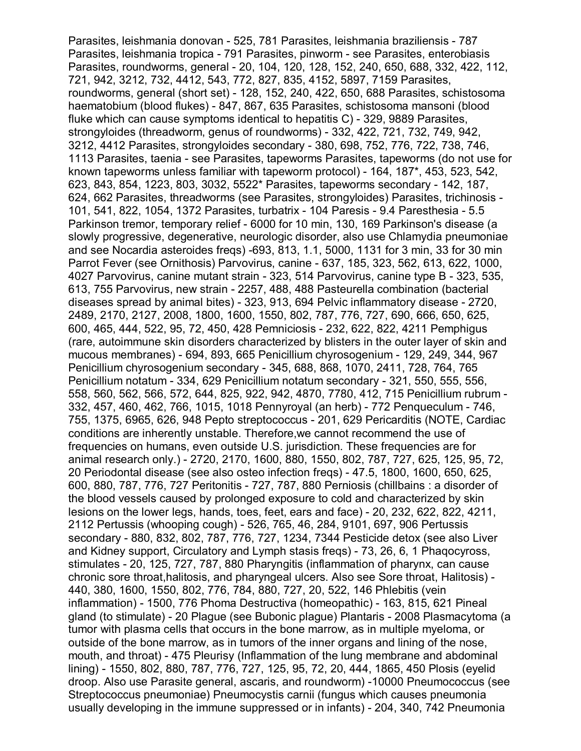Parasites, leishmania donovan - 525, 781 Parasites, leishmania braziliensis - 787 Parasites, leishmania tropica - 791 Parasites, pinworm - see Parasites, enterobiasis Parasites, roundworms, general - 20, 104, 120, 128, 152, 240, 650, 688, 332, 422, 112, 721, 942, 3212, 732, 4412, 543, 772, 827, 835, 4152, 5897, 7159 Parasites, roundworms, general (short set) - 128, 152, 240, 422, 650, 688 Parasites, schistosoma haematobium (blood flukes) - 847, 867, 635 Parasites, schistosoma mansoni (blood fluke which can cause symptoms identical to hepatitis C) - 329, 9889 Parasites, strongyloides (threadworm, genus of roundworms) - 332, 422, 721, 732, 749, 942, 3212, 4412 Parasites, strongyloides secondary - 380, 698, 752, 776, 722, 738, 746, 1113 Parasites, taenia - see Parasites, tapeworms Parasites, tapeworms (do not use for known tapeworms unless familiar with tapeworm protocol) - 164, 187\*, 453, 523, 542, 623, 843, 854, 1223, 803, 3032, 5522\* Parasites, tapeworms secondary - 142, 187, 624, 662 Parasites, threadworms (see Parasites, strongyloides) Parasites, trichinosis - 101, 541, 822, 1054, 1372 Parasites, turbatrix - 104 Paresis - 9.4 Paresthesia - 5.5 Parkinson tremor, temporary relief - 6000 for 10 min, 130, 169 Parkinson's disease (a slowly progressive, degenerative, neurologic disorder, also use Chlamydia pneumoniae and see Nocardia asteroides freqs) -693, 813, 1.1, 5000, 1131 for 3 min, 33 for 30 min Parrot Fever (see Ornithosis) Parvovirus, canine - 637, 185, 323, 562, 613, 622, 1000, 4027 Parvovirus, canine mutant strain - 323, 514 Parvovirus, canine type B - 323, 535, 613, 755 Parvovirus, new strain - 2257, 488, 488 Pasteurella combination (bacterial diseases spread by animal bites) - 323, 913, 694 Pelvic inflammatory disease - 2720, 2489, 2170, 2127, 2008, 1800, 1600, 1550, 802, 787, 776, 727, 690, 666, 650, 625, 600, 465, 444, 522, 95, 72, 450, 428 Pemniciosis - 232, 622, 822, 4211 Pemphigus (rare, autoimmune skin disorders characterized by blisters in the outer layer of skin and mucous membranes) - 694, 893, 665 Penicillium chyrosogenium - 129, 249, 344, 967 Penicillium chyrosogenium secondary - 345, 688, 868, 1070, 2411, 728, 764, 765 Penicillium notatum - 334, 629 Penicillium notatum secondary - 321, 550, 555, 556, 558, 560, 562, 566, 572, 644, 825, 922, 942, 4870, 7780, 412, 715 Penicillium rubrum - 332, 457, 460, 462, 766, 1015, 1018 Pennyroyal (an herb) - 772 Penqueculum - 746, 755, 1375, 6965, 626, 948 Pepto streptococcus - 201, 629 Pericarditis (NOTE, Cardiac conditions are inherently unstable. Therefore,we cannot recommend the use of frequencies on humans, even outside U.S. jurisdiction. These frequencies are for animal research only.) - 2720, 2170, 1600, 880, 1550, 802, 787, 727, 625, 125, 95, 72, 20 Periodontal disease (see also osteo infection freqs) - 47.5, 1800, 1600, 650, 625, 600, 880, 787, 776, 727 Peritonitis - 727, 787, 880 Perniosis (chillbains : a disorder of the blood vessels caused by prolonged exposure to cold and characterized by skin lesions on the lower legs, hands, toes, feet, ears and face) - 20, 232, 622, 822, 4211, 2112 Pertussis (whooping cough) - 526, 765, 46, 284, 9101, 697, 906 Pertussis secondary - 880, 832, 802, 787, 776, 727, 1234, 7344 Pesticide detox (see also Liver and Kidney support, Circulatory and Lymph stasis freqs) - 73, 26, 6, 1 Phaqocyross, stimulates - 20, 125, 727, 787, 880 Pharyngitis (inflammation of pharynx, can cause chronic sore throat,halitosis, and pharyngeal ulcers. Also see Sore throat, Halitosis) - 440, 380, 1600, 1550, 802, 776, 784, 880, 727, 20, 522, 146 Phlebitis (vein inflammation) - 1500, 776 Phoma Destructiva (homeopathic) - 163, 815, 621 Pineal gland (to stimulate) - 20 Plague (see Bubonic plague) Plantaris - 2008 Plasmacytoma (a tumor with plasma cells that occurs in the bone marrow, as in multiple myeloma, or outside of the bone marrow, as in tumors of the inner organs and lining of the nose, mouth, and throat) - 475 Pleurisy (Inflammation of the lung membrane and abdominal lining) - 1550, 802, 880, 787, 776, 727, 125, 95, 72, 20, 444, 1865, 450 Plosis (eyelid droop. Also use Parasite general, ascaris, and roundworm) -10000 Pneumococcus (see Streptococcus pneumoniae) Pneumocystis carnii (fungus which causes pneumonia usually developing in the immune suppressed or in infants) - 204, 340, 742 Pneumonia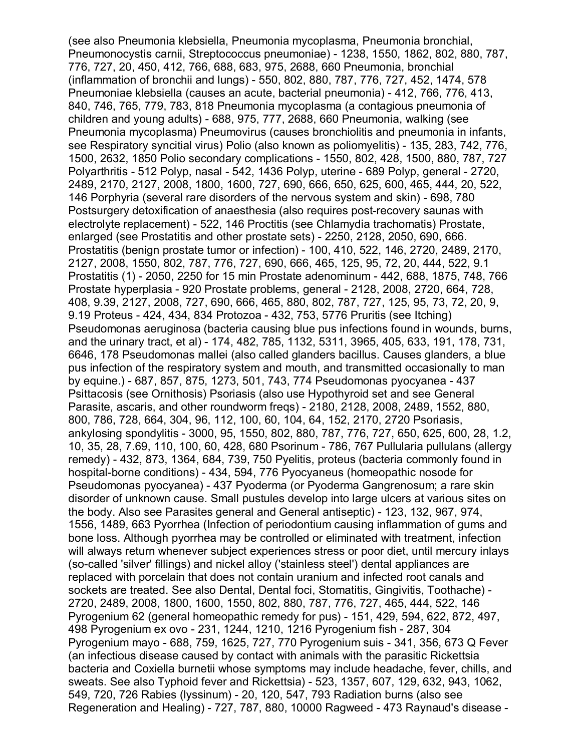(see also Pneumonia klebsiella, Pneumonia mycoplasma, Pneumonia bronchial, Pneumonocystis carnii, Streptococcus pneumoniae) - 1238, 1550, 1862, 802, 880, 787, 776, 727, 20, 450, 412, 766, 688, 683, 975, 2688, 660 Pneumonia, bronchial (inflammation of bronchii and lungs) - 550, 802, 880, 787, 776, 727, 452, 1474, 578 Pneumoniae klebsiella (causes an acute, bacterial pneumonia) - 412, 766, 776, 413, 840, 746, 765, 779, 783, 818 Pneumonia mycoplasma (a contagious pneumonia of children and young adults) - 688, 975, 777, 2688, 660 Pneumonia, walking (see Pneumonia mycoplasma) Pneumovirus (causes bronchiolitis and pneumonia in infants, see Respiratory syncitial virus) Polio (also known as poliomyelitis) - 135, 283, 742, 776, 1500, 2632, 1850 Polio secondary complications - 1550, 802, 428, 1500, 880, 787, 727 Polyarthritis - 512 Polyp, nasal - 542, 1436 Polyp, uterine - 689 Polyp, general - 2720, 2489, 2170, 2127, 2008, 1800, 1600, 727, 690, 666, 650, 625, 600, 465, 444, 20, 522, 146 Porphyria (several rare disorders of the nervous system and skin) - 698, 780 Postsurgery detoxification of anaesthesia (also requires post-recovery saunas with electrolyte replacement) - 522, 146 Proctitis (see Chlamydia trachomatis) Prostate, enlarged (see Prostatitis and other prostate sets) - 2250, 2128, 2050, 690, 666. Prostatitis (benign prostate tumor or infection) - 100, 410, 522, 146, 2720, 2489, 2170, 2127, 2008, 1550, 802, 787, 776, 727, 690, 666, 465, 125, 95, 72, 20, 444, 522, 9.1 Prostatitis (1) - 2050, 2250 for 15 min Prostate adenominum - 442, 688, 1875, 748, 766 Prostate hyperplasia - 920 Prostate problems, general - 2128, 2008, 2720, 664, 728, 408, 9.39, 2127, 2008, 727, 690, 666, 465, 880, 802, 787, 727, 125, 95, 73, 72, 20, 9, 9.19 Proteus - 424, 434, 834 Protozoa - 432, 753, 5776 Pruritis (see Itching) Pseudomonas aeruginosa (bacteria causing blue pus infections found in wounds, burns, and the urinary tract, et al) - 174, 482, 785, 1132, 5311, 3965, 405, 633, 191, 178, 731, 6646, 178 Pseudomonas mallei (also called glanders bacillus. Causes glanders, a blue pus infection of the respiratory system and mouth, and transmitted occasionally to man by equine.) - 687, 857, 875, 1273, 501, 743, 774 Pseudomonas pyocyanea - 437 Psittacosis (see Ornithosis) Psoriasis (also use Hypothyroid set and see General Parasite, ascaris, and other roundworm freqs) - 2180, 2128, 2008, 2489, 1552, 880, 800, 786, 728, 664, 304, 96, 112, 100, 60, 104, 64, 152, 2170, 2720 Psoriasis, ankylosing spondylitis - 3000, 95, 1550, 802, 880, 787, 776, 727, 650, 625, 600, 28, 1.2, 10, 35, 28, 7.69, 110, 100, 60, 428, 680 Psorinum - 786, 767 Pullularia pullulans (allergy remedy) - 432, 873, 1364, 684, 739, 750 Pyelitis, proteus (bacteria commonly found in hospital-borne conditions) - 434, 594, 776 Pyocyaneus (homeopathic nosode for Pseudomonas pyocyanea) - 437 Pyoderma (or Pyoderma Gangrenosum; a rare skin disorder of unknown cause. Small pustules develop into large ulcers at various sites on the body. Also see Parasites general and General antiseptic) - 123, 132, 967, 974, 1556, 1489, 663 Pyorrhea (Infection of periodontium causing inflammation of gums and bone loss. Although pyorrhea may be controlled or eliminated with treatment, infection will always return whenever subject experiences stress or poor diet, until mercury inlays (so-called 'silver' fillings) and nickel alloy ('stainless steel') dental appliances are replaced with porcelain that does not contain uranium and infected root canals and sockets are treated. See also Dental, Dental foci, Stomatitis, Gingivitis, Toothache) - 2720, 2489, 2008, 1800, 1600, 1550, 802, 880, 787, 776, 727, 465, 444, 522, 146 Pyrogenium 62 (general homeopathic remedy for pus) - 151, 429, 594, 622, 872, 497, 498 Pyrogenium ex ovo - 231, 1244, 1210, 1216 Pyrogenium fish - 287, 304 Pyrogenium mayo - 688, 759, 1625, 727, 770 Pyrogenium suis - 341, 356, 673 Q Fever (an infectious disease caused by contact with animals with the parasitic Rickettsia bacteria and Coxiella burnetii whose symptoms may include headache, fever, chills, and sweats. See also Typhoid fever and Rickettsia) - 523, 1357, 607, 129, 632, 943, 1062, 549, 720, 726 Rabies (lyssinum) - 20, 120, 547, 793 Radiation burns (also see Regeneration and Healing) - 727, 787, 880, 10000 Ragweed - 473 Raynaud's disease -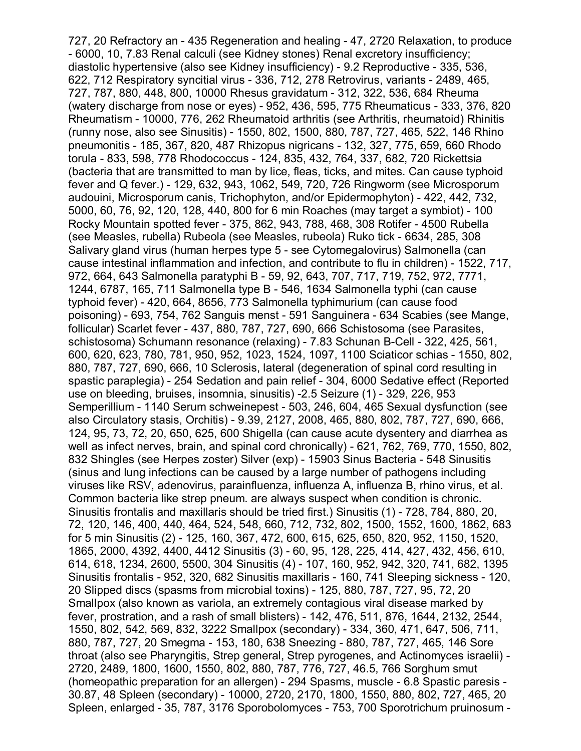727, 20 Refractory an - 435 Regeneration and healing - 47, 2720 Relaxation, to produce - 6000, 10, 7.83 Renal calculi (see Kidney stones) Renal excretory insufficiency; diastolic hypertensive (also see Kidney insufficiency) - 9.2 Reproductive - 335, 536, 622, 712 Respiratory syncitial virus - 336, 712, 278 Retrovirus, variants - 2489, 465, 727, 787, 880, 448, 800, 10000 Rhesus gravidatum - 312, 322, 536, 684 Rheuma (watery discharge from nose or eyes) - 952, 436, 595, 775 Rheumaticus - 333, 376, 820 Rheumatism - 10000, 776, 262 Rheumatoid arthritis (see Arthritis, rheumatoid) Rhinitis (runny nose, also see Sinusitis) - 1550, 802, 1500, 880, 787, 727, 465, 522, 146 Rhino pneumonitis - 185, 367, 820, 487 Rhizopus nigricans - 132, 327, 775, 659, 660 Rhodo torula - 833, 598, 778 Rhodococcus - 124, 835, 432, 764, 337, 682, 720 Rickettsia (bacteria that are transmitted to man by lice, fleas, ticks, and mites. Can cause typhoid fever and Q fever.) - 129, 632, 943, 1062, 549, 720, 726 Ringworm (see Microsporum audouini, Microsporum canis, Trichophyton, and/or Epidermophyton) - 422, 442, 732, 5000, 60, 76, 92, 120, 128, 440, 800 for 6 min Roaches (may target a symbiot) - 100 Rocky Mountain spotted fever - 375, 862, 943, 788, 468, 308 Rotifer - 4500 Rubella (see Measles, rubella) Rubeola (see Measles, rubeola) Ruko tick - 6634, 285, 308 Salivary gland virus (human herpes type 5 - see Cytomegalovirus) Salmonella (can cause intestinal inflammation and infection, and contribute to flu in children) - 1522, 717, 972, 664, 643 Salmonella paratyphi B - 59, 92, 643, 707, 717, 719, 752, 972, 7771, 1244, 6787, 165, 711 Salmonella type B - 546, 1634 Salmonella typhi (can cause typhoid fever) - 420, 664, 8656, 773 Salmonella typhimurium (can cause food poisoning) - 693, 754, 762 Sanguis menst - 591 Sanguinera - 634 Scabies (see Mange, follicular) Scarlet fever - 437, 880, 787, 727, 690, 666 Schistosoma (see Parasites, schistosoma) Schumann resonance (relaxing) - 7.83 Schunan B-Cell - 322, 425, 561, 600, 620, 623, 780, 781, 950, 952, 1023, 1524, 1097, 1100 Sciaticor schias - 1550, 802, 880, 787, 727, 690, 666, 10 Sclerosis, lateral (degeneration of spinal cord resulting in spastic paraplegia) - 254 Sedation and pain relief - 304, 6000 Sedative effect (Reported use on bleeding, bruises, insomnia, sinusitis) -2.5 Seizure (1) - 329, 226, 953 Semperillium - 1140 Serum schweinepest - 503, 246, 604, 465 Sexual dysfunction (see also Circulatory stasis, Orchitis) - 9.39, 2127, 2008, 465, 880, 802, 787, 727, 690, 666, 124, 95, 73, 72, 20, 650, 625, 600 Shigella (can cause acute dysentery and diarrhea as well as infect nerves, brain, and spinal cord chronically) - 621, 762, 769, 770, 1550, 802, 832 Shingles (see Herpes zoster) Silver (exp) - 15903 Sinus Bacteria - 548 Sinusitis (sinus and lung infections can be caused by a large number of pathogens including viruses like RSV, adenovirus, parainfluenza, influenza A, influenza B, rhino virus, et al. Common bacteria like strep pneum. are always suspect when condition is chronic. Sinusitis frontalis and maxillaris should be tried first.) Sinusitis (1) - 728, 784, 880, 20, 72, 120, 146, 400, 440, 464, 524, 548, 660, 712, 732, 802, 1500, 1552, 1600, 1862, 683 for 5 min Sinusitis (2) - 125, 160, 367, 472, 600, 615, 625, 650, 820, 952, 1150, 1520, 1865, 2000, 4392, 4400, 4412 Sinusitis (3) - 60, 95, 128, 225, 414, 427, 432, 456, 610, 614, 618, 1234, 2600, 5500, 304 Sinusitis (4) - 107, 160, 952, 942, 320, 741, 682, 1395 Sinusitis frontalis - 952, 320, 682 Sinusitis maxillaris - 160, 741 Sleeping sickness - 120, 20 Slipped discs (spasms from microbial toxins) - 125, 880, 787, 727, 95, 72, 20 Smallpox (also known as variola, an extremely contagious viral disease marked by fever, prostration, and a rash of small blisters) - 142, 476, 511, 876, 1644, 2132, 2544, 1550, 802, 542, 569, 832, 3222 Smallpox (secondary) - 334, 360, 471, 647, 506, 711, 880, 787, 727, 20 Smegma - 153, 180, 638 Sneezing - 880, 787, 727, 465, 146 Sore throat (also see Pharyngitis, Strep general, Strep pyrogenes, and Actinomyces israelii) - 2720, 2489, 1800, 1600, 1550, 802, 880, 787, 776, 727, 46.5, 766 Sorghum smut (homeopathic preparation for an allergen) - 294 Spasms, muscle - 6.8 Spastic paresis - 30.87, 48 Spleen (secondary) - 10000, 2720, 2170, 1800, 1550, 880, 802, 727, 465, 20 Spleen, enlarged - 35, 787, 3176 Sporobolomyces - 753, 700 Sporotrichum pruinosum -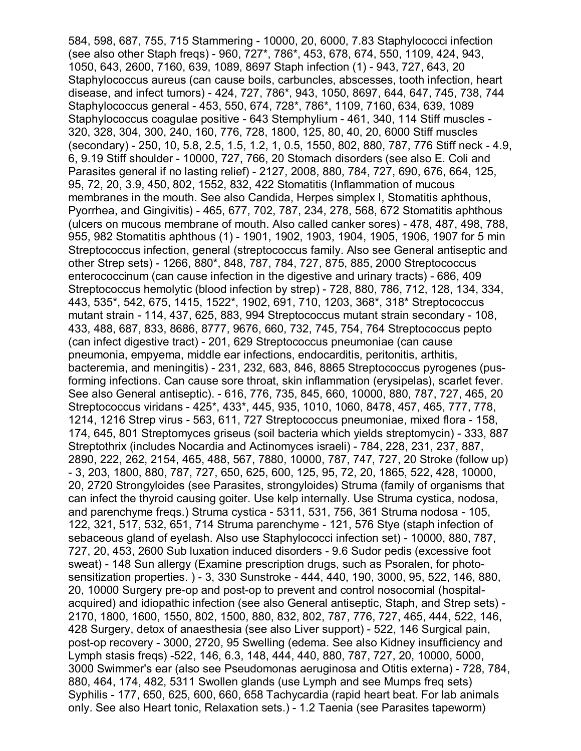584, 598, 687, 755, 715 Stammering - 10000, 20, 6000, 7.83 Staphylococci infection (see also other Staph freqs) - 960, 727\*, 786\*, 453, 678, 674, 550, 1109, 424, 943, 1050, 643, 2600, 7160, 639, 1089, 8697 Staph infection (1) - 943, 727, 643, 20 Staphylococcus aureus (can cause boils, carbuncles, abscesses, tooth infection, heart disease, and infect tumors) - 424, 727, 786\*, 943, 1050, 8697, 644, 647, 745, 738, 744 Staphylococcus general - 453, 550, 674, 728\*, 786\*, 1109, 7160, 634, 639, 1089 Staphylococcus coagulae positive - 643 Stemphylium - 461, 340, 114 Stiff muscles - 320, 328, 304, 300, 240, 160, 776, 728, 1800, 125, 80, 40, 20, 6000 Stiff muscles (secondary) - 250, 10, 5.8, 2.5, 1.5, 1.2, 1, 0.5, 1550, 802, 880, 787, 776 Stiff neck - 4.9, 6, 9.19 Stiff shoulder - 10000, 727, 766, 20 Stomach disorders (see also E. Coli and Parasites general if no lasting relief) - 2127, 2008, 880, 784, 727, 690, 676, 664, 125, 95, 72, 20, 3.9, 450, 802, 1552, 832, 422 Stomatitis (Inflammation of mucous membranes in the mouth. See also Candida, Herpes simplex I, Stomatitis aphthous, Pyorrhea, and Gingivitis) - 465, 677, 702, 787, 234, 278, 568, 672 Stomatitis aphthous (ulcers on mucous membrane of mouth. Also called canker sores) - 478, 487, 498, 788, 955, 982 Stomatitis aphthous (1) - 1901, 1902, 1903, 1904, 1905, 1906, 1907 for 5 min Streptococcus infection, general (streptococcus family. Also see General antiseptic and other Strep sets) - 1266, 880\*, 848, 787, 784, 727, 875, 885, 2000 Streptococcus enterococcinum (can cause infection in the digestive and urinary tracts) - 686, 409 Streptococcus hemolytic (blood infection by strep) - 728, 880, 786, 712, 128, 134, 334, 443, 535\*, 542, 675, 1415, 1522\*, 1902, 691, 710, 1203, 368\*, 318\* Streptococcus mutant strain - 114, 437, 625, 883, 994 Streptococcus mutant strain secondary - 108, 433, 488, 687, 833, 8686, 8777, 9676, 660, 732, 745, 754, 764 Streptococcus pepto (can infect digestive tract) - 201, 629 Streptococcus pneumoniae (can cause pneumonia, empyema, middle ear infections, endocarditis, peritonitis, arthitis, bacteremia, and meningitis) - 231, 232, 683, 846, 8865 Streptococcus pyrogenes (pusforming infections. Can cause sore throat, skin inflammation (erysipelas), scarlet fever. See also General antiseptic). - 616, 776, 735, 845, 660, 10000, 880, 787, 727, 465, 20 Streptococcus viridans - 425\*, 433\*, 445, 935, 1010, 1060, 8478, 457, 465, 777, 778, 1214, 1216 Strep virus - 563, 611, 727 Streptococcus pneumoniae, mixed flora - 158, 174, 645, 801 Streptomyces griseus (soil bacteria which yields streptomycin) - 333, 887 Streptothrix (includes Nocardia and Actinomyces israeli) - 784, 228, 231, 237, 887, 2890, 222, 262, 2154, 465, 488, 567, 7880, 10000, 787, 747, 727, 20 Stroke (follow up) - 3, 203, 1800, 880, 787, 727, 650, 625, 600, 125, 95, 72, 20, 1865, 522, 428, 10000, 20, 2720 Strongyloides (see Parasites, strongyloides) Struma (family of organisms that can infect the thyroid causing goiter. Use kelp internally. Use Struma cystica, nodosa, and parenchyme freqs.) Struma cystica - 5311, 531, 756, 361 Struma nodosa - 105, 122, 321, 517, 532, 651, 714 Struma parenchyme - 121, 576 Stye (staph infection of sebaceous gland of eyelash. Also use Staphylococci infection set) - 10000, 880, 787, 727, 20, 453, 2600 Sub luxation induced disorders - 9.6 Sudor pedis (excessive foot sweat) - 148 Sun allergy (Examine prescription drugs, such as Psoralen, for photosensitization properties. ) - 3, 330 Sunstroke - 444, 440, 190, 3000, 95, 522, 146, 880, 20, 10000 Surgery pre-op and post-op to prevent and control nosocomial (hospitalacquired) and idiopathic infection (see also General antiseptic, Staph, and Strep sets) - 2170, 1800, 1600, 1550, 802, 1500, 880, 832, 802, 787, 776, 727, 465, 444, 522, 146, 428 Surgery, detox of anaesthesia (see also Liver support) - 522, 146 Surgical pain, post-op recovery - 3000, 2720, 95 Swelling (edema. See also Kidney insufficiency and Lymph stasis freqs) -522, 146, 6.3, 148, 444, 440, 880, 787, 727, 20, 10000, 5000, 3000 Swimmer's ear (also see Pseudomonas aeruginosa and Otitis externa) - 728, 784, 880, 464, 174, 482, 5311 Swollen glands (use Lymph and see Mumps freq sets) Syphilis - 177, 650, 625, 600, 660, 658 Tachycardia (rapid heart beat. For lab animals only. See also Heart tonic, Relaxation sets.) - 1.2 Taenia (see Parasites tapeworm)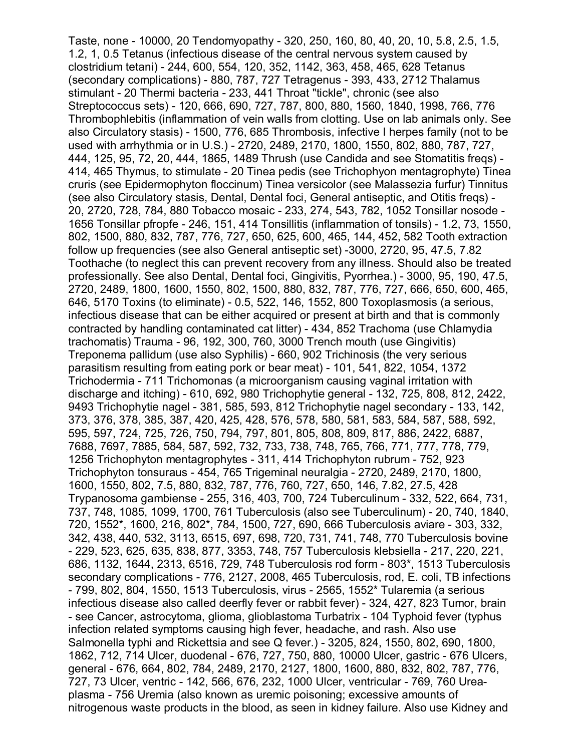Taste, none - 10000, 20 Tendomyopathy - 320, 250, 160, 80, 40, 20, 10, 5.8, 2.5, 1.5, 1.2, 1, 0.5 Tetanus (infectious disease of the central nervous system caused by clostridium tetani) - 244, 600, 554, 120, 352, 1142, 363, 458, 465, 628 Tetanus (secondary complications) - 880, 787, 727 Tetragenus - 393, 433, 2712 Thalamus stimulant - 20 Thermi bacteria - 233, 441 Throat "tickle", chronic (see also Streptococcus sets) - 120, 666, 690, 727, 787, 800, 880, 1560, 1840, 1998, 766, 776 Thrombophlebitis (inflammation of vein walls from clotting. Use on lab animals only. See also Circulatory stasis) - 1500, 776, 685 Thrombosis, infective I herpes family (not to be used with arrhythmia or in U.S.) - 2720, 2489, 2170, 1800, 1550, 802, 880, 787, 727, 444, 125, 95, 72, 20, 444, 1865, 1489 Thrush (use Candida and see Stomatitis freqs) - 414, 465 Thymus, to stimulate - 20 Tinea pedis (see Trichophyon mentagrophyte) Tinea cruris (see Epidermophyton floccinum) Tinea versicolor (see Malassezia furfur) Tinnitus (see also Circulatory stasis, Dental, Dental foci, General antiseptic, and Otitis freqs) - 20, 2720, 728, 784, 880 Tobacco mosaic - 233, 274, 543, 782, 1052 Tonsillar nosode - 1656 Tonsillar pfropfe - 246, 151, 414 Tonsillitis (inflammation of tonsils) - 1.2, 73, 1550, 802, 1500, 880, 832, 787, 776, 727, 650, 625, 600, 465, 144, 452, 582 Tooth extraction follow up frequencies (see also General antiseptic set) -3000, 2720, 95, 47.5, 7.82 Toothache (to neglect this can prevent recovery from any illness. Should also be treated professionally. See also Dental, Dental foci, Gingivitis, Pyorrhea.) - 3000, 95, 190, 47.5, 2720, 2489, 1800, 1600, 1550, 802, 1500, 880, 832, 787, 776, 727, 666, 650, 600, 465, 646, 5170 Toxins (to eliminate) - 0.5, 522, 146, 1552, 800 Toxoplasmosis (a serious, infectious disease that can be either acquired or present at birth and that is commonly contracted by handling contaminated cat litter) - 434, 852 Trachoma (use Chlamydia trachomatis) Trauma - 96, 192, 300, 760, 3000 Trench mouth (use Gingivitis) Treponema pallidum (use also Syphilis) - 660, 902 Trichinosis (the very serious parasitism resulting from eating pork or bear meat) - 101, 541, 822, 1054, 1372 Trichodermia - 711 Trichomonas (a microorganism causing vaginal irritation with discharge and itching) - 610, 692, 980 Trichophytie general - 132, 725, 808, 812, 2422, 9493 Trichophytie nagel - 381, 585, 593, 812 Trichophytie nagel secondary - 133, 142, 373, 376, 378, 385, 387, 420, 425, 428, 576, 578, 580, 581, 583, 584, 587, 588, 592, 595, 597, 724, 725, 726, 750, 794, 797, 801, 805, 808, 809, 817, 886, 2422, 6887, 7688, 7697, 7885, 584, 587, 592, 732, 733, 738, 748, 765, 766, 771, 777, 778, 779, 1256 Trichophyton mentagrophytes - 311, 414 Trichophyton rubrum - 752, 923 Trichophyton tonsuraus - 454, 765 Trigeminal neuralgia - 2720, 2489, 2170, 1800, 1600, 1550, 802, 7.5, 880, 832, 787, 776, 760, 727, 650, 146, 7.82, 27.5, 428 Trypanosoma gambiense - 255, 316, 403, 700, 724 Tuberculinum - 332, 522, 664, 731, 737, 748, 1085, 1099, 1700, 761 Tuberculosis (also see Tuberculinum) - 20, 740, 1840, 720, 1552\*, 1600, 216, 802\*, 784, 1500, 727, 690, 666 Tuberculosis aviare - 303, 332, 342, 438, 440, 532, 3113, 6515, 697, 698, 720, 731, 741, 748, 770 Tuberculosis bovine - 229, 523, 625, 635, 838, 877, 3353, 748, 757 Tuberculosis klebsiella - 217, 220, 221, 686, 1132, 1644, 2313, 6516, 729, 748 Tuberculosis rod form - 803\*, 1513 Tuberculosis secondary complications - 776, 2127, 2008, 465 Tuberculosis, rod, E. coli, TB infections - 799, 802, 804, 1550, 1513 Tuberculosis, virus - 2565, 1552\* Tularemia (a serious infectious disease also called deerfly fever or rabbit fever) - 324, 427, 823 Tumor, brain - see Cancer, astrocytoma, glioma, glioblastoma Turbatrix - 104 Typhoid fever (typhus infection related symptoms causing high fever, headache, and rash. Also use Salmonella typhi and Rickettsia and see Q fever.) - 3205, 824, 1550, 802, 690, 1800, 1862, 712, 714 Ulcer, duodenal - 676, 727, 750, 880, 10000 Ulcer, gastric - 676 Ulcers, general - 676, 664, 802, 784, 2489, 2170, 2127, 1800, 1600, 880, 832, 802, 787, 776, 727, 73 Ulcer, ventric - 142, 566, 676, 232, 1000 Ulcer, ventricular - 769, 760 Ureaplasma - 756 Uremia (also known as uremic poisoning; excessive amounts of nitrogenous waste products in the blood, as seen in kidney failure. Also use Kidney and